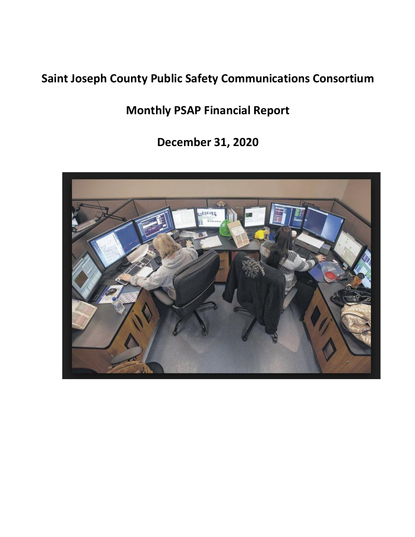# **Saint Joseph County Public Safety Communications Consortium**

**Monthly PSAP Financial Report**

**December 31, 2020**

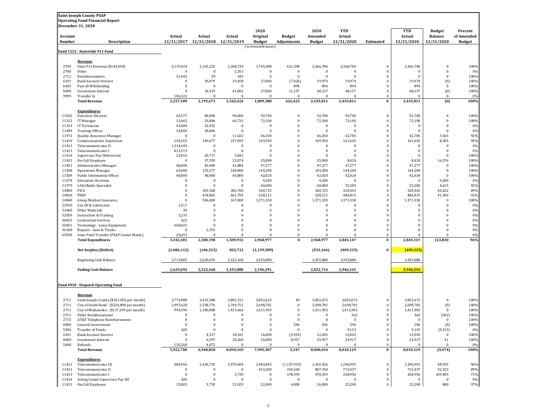|                | <b>Saint Joseph County PSAP</b><br><b>Operating Fund Financial Report</b> |                      |                                      |                      |                      |                              |                             |                          |                          |                          |                                 |                       |
|----------------|---------------------------------------------------------------------------|----------------------|--------------------------------------|----------------------|----------------------|------------------------------|-----------------------------|--------------------------|--------------------------|--------------------------|---------------------------------|-----------------------|
| Account        | December 31, 2020                                                         | Actual               | Actual                               | Actual               | 2020<br>Original     | <b>Budget</b>                | 2020<br>Amended             | <b>YTD</b><br>Actual     |                          | <b>YTD</b><br>Actual     | <b>Budget</b><br><b>Balance</b> | Percent<br>of Amended |
| Number         | <b>Description</b>                                                        |                      | 12/31/2017 12/31/2018 12/31/2019     |                      | <b>Budget</b>        | Adjustments                  | Budget                      | 12/31/2020               | Estimated                | 12/31/2020               | 12/31/2020                      | <b>Budget</b>         |
|                | Fund 1222 - Statewide 911 Fund                                            |                      |                                      |                      | (w/encumbrances)     |                              |                             |                          |                          |                          |                                 |                       |
|                | Revenue                                                                   |                      |                                      |                      |                      |                              |                             |                          |                          |                          |                                 |                       |
| 2709           | State 911 Revenue (\$145,449)                                             | 2,119,424            | 2,165,225                            | 2,268,739            | 1,745,388            | 621,398                      | 2,366,786                   | 2,366,786                | $\Omega$                 | 2,366,786                | $\bf{0}$                        | 100%                  |
| 2700           | Other                                                                     | $\mathbf{0}$         | $\bf{0}$                             | 2,353                | $\mathbf{0}$         | $\mathbf{0}$                 | $\bf{0}$                    | $\Omega$                 | $\Omega$                 | $\Omega$                 | $\Omega$                        | 0%                    |
| 2711           | Reimbursements                                                            | 31,443               | 50                                   | 183                  | $\mathbf{0}$         | $\Omega$                     | $\bf{0}$                    | $\Omega$                 | $\mathbf{0}$             | $\Omega$                 | $\Omega$                        | 100%                  |
| 6101           | <b>Bank Account Interest</b>                                              | $\bf{0}$             | 10,079                               | 29,458               | 27,000               | (7,026)                      | 19,974                      | 19,974                   | $\mathbf{0}$             | 19,974                   | (0)                             | 100%                  |
| 6405<br>8400   | Payroll Withholding<br><b>Investment Interest</b>                         | $\bf{0}$<br>$\bf{0}$ | $\bf{0}$<br>18,319                   | $\bf{0}$<br>41,892   | $\Omega$<br>37,000   | 894<br>11,157                | 894<br>48,157               | 894<br>48,157            | $\Omega$<br>$\mathbf{0}$ | 894<br>48,157            | $\Omega$<br>(0)                 | 100%<br>100%          |
| 9999           | Transfer In                                                               | 106,322              | $\Omega$                             | $\Omega$             |                      | $\Omega$                     | $\Omega$                    |                          | $\Omega$                 | $\Omega$                 | $\bf{0}$                        | 0%                    |
|                | <b>Total Revenue</b>                                                      | 2,257,189            | 2,193,673                            | 2,342,624            | 1,809,388            | 626,423                      | 2,435,811                   | 2,435,811                | $\bf{0}$                 | 2,435,811                | (0)                             | 100%                  |
|                | <b>Expenditures</b>                                                       |                      |                                      |                      |                      |                              |                             |                          |                          |                          |                                 |                       |
| 11032          | <b>Executive Director</b>                                                 | 65,577               | 80,000                               | 90,000               | 92,700               | $\mathbf{0}$                 | 92,700                      | 92,700                   | $\Omega$                 | 92,700                   | $\Omega$                        | 100%                  |
| 11312          | IT Manager                                                                | 13,462               | 53,846                               | 66,731               | 72,100               | $\bf{0}$                     | 72,100                      | 72,100                   | $\Omega$                 | 72,100                   | $\mathbf{0}$                    | 100%                  |
| 11314<br>11409 | IT Technician<br><b>Training Officer</b>                                  | 45,000<br>54,006     | 32,452<br>18,846                     | $\bf{0}$<br>$\bf{0}$ | $\theta$<br>$\Omega$ | $\mathbf{0}$<br>$\mathbf{0}$ | $\bf{0}$<br>$\bf{0}$        | $\Omega$<br>$\Omega$     | $\mathbf{0}$<br>$\Omega$ | $\Omega$<br>$\mathbf{0}$ | $\Omega$<br>$\Omega$            | 0%<br>0%              |
| 11973          | Quality Assurance Manager                                                 | 0                    | $\bf{0}$                             | 11,022               | 46,350               | $\mathbf{0}$                 | 46,350                      | 42,785                   | $\Omega$                 | 42,785                   | 3,565                           | 92%                   |
| 11410          | Communications Supervisor                                                 | 145,655              | 149,677                              | 157,093              | 169,950              | $\mathbf{0}$                 | 169,950                     | 161,645                  | $\Omega$                 | 161,645                  | 8,305                           | 95%                   |
| 11412          | Telecommunicator II                                                       | 1,334,449            | $\boldsymbol{0}$                     | $\bf{0}$             | $\bf{0}$             | $\Omega$                     | $\bf{0}$                    | $\mathbf{0}$             | $\Omega$                 | $\Omega$                 | $\mathbf{0}$                    | 0%                    |
| 11413          | Telecommunicator I                                                        | 813,519              | $\bf{0}$                             | $\bf{0}$             | $\Omega$             | $\Omega$                     | $\bf{0}$                    | $\Omega$                 | $\Omega$                 | $\Omega$                 | $\Omega$                        | 0%                    |
| 11414          | Supervisor Pay Differential                                               | 23,816               | 20,717                               | 3,845                | $\theta$             | $\mathbf{0}$                 | $\bf{0}$                    | $\Omega$                 | $\mathbf{0}$             | $\Omega$                 | $\Omega$                        | 100%                  |
| 11415          | On-Call Employee                                                          | $\Omega$             | 37,559                               | 23,074               | 25,000               | $\bf{0}$                     | 25,000                      | 8,424                    | $\Omega$                 | 8,424                    | 16,576                          | 100%                  |
| 11452          | <b>Administrative Manager</b>                                             | 40,000               | 45,000                               | 41,884               | 47,277               | $\mathbf{0}$<br>$\mathbf{0}$ | 47,277                      | 47,277                   | $\Omega$                 | 47,277                   | $\Omega$<br>$\mathbf{0}$        | 100%<br>100%          |
| 11458<br>11509 | <b>Operations Manager</b><br>Public Information Officer                   | 65,000<br>40,000     | 125,577<br>40,000                    | 140,000<br>40,800    | 144,200<br>42,024    | $\mathbf{0}$                 | 144,200<br>42,024           | 144,200<br>42,024        | $\Omega$                 | 144,200<br>42,024        | $\Omega$                        | 100%                  |
| 11578          | <b>Education Overtime</b>                                                 | $\bf{0}$             | $\bf{0}$                             | $\bf{0}$             | 9,200                | $\mathbf{0}$                 | 9,200                       | $\mathbf 0$              | $\mathbf{0}$             | $\Omega$                 | 9,200                           | 0%                    |
| 11979          | CAD/Radio Specialist                                                      | $\bf{0}$             | $\bf{0}$                             | $\bf{0}$             | 60,000               | $\mathbf{0}$                 | 60,000                      | 55,385                   | $\Omega$                 | 55,385                   | 4,615                           | 92%                   |
| 14800          | <b>FICA</b>                                                               | $\bf{0}$             | 303,368                              | 306,760              | 360,725              | $\mathbf{0}$                 | 360,725                     | 320,463                  | $\Omega$                 | 320,463                  | 40,262                          | 89%                   |
| 14810          | PERF                                                                      | $\Omega$             | 454,803                              | 461,704              | 528,121              | $\mathbf{0}$                 | 528,121                     | 486,815                  | $\Omega$                 | 486,815                  | 41,306                          | 92%                   |
| 14840          | Group Medical Insurance                                                   | $\bf{0}$             | 936,000                              | 167,000              | 1,371,330            | $\mathbf{0}$                 | 1,371,330                   | 1,371,330                | $\mathbf{0}$             | 1,371,330                | $\mathbf{0}$                    | 100%                  |
| 22010          | Gas Oil & Lubricants                                                      | 1,217                | $\bf{0}$                             | $\bf{0}$             | $\theta$             | $\Omega$                     | $\bf{0}$                    | $\Omega$                 | $\Omega$                 | $\Omega$                 | $\Omega$                        | 0%                    |
| 23460          | Other Materials                                                           | 30                   | $\bf{0}$<br>$\bf{0}$                 | $\mathbf{0}$         | $\Omega$             | $\Omega$<br>$\mathbf{0}$     | $\bf{0}$                    | $\Omega$<br>$\mathbf{0}$ | $\Omega$<br>$\Omega$     | $\mathbf{0}$             | $\Omega$                        | 0%                    |
| 32050<br>36015 | <b>Instruction &amp; Training</b><br><b>Contractual Services</b>          | 3,235<br>622         | $\bf{0}$                             | $\bf{0}$<br>$\theta$ | $\bf{0}$<br>$\Omega$ | $\Omega$                     | $\bf{0}$<br>$\Omega$        | $\Omega$                 | $\Omega$                 | $\bf{0}$<br>$\mathbf{0}$ | $\Omega$                        | 0%<br>0%              |
| 36051          | Technology - Lease Equipment                                              | 668,021              | $\bf{0}$                             | $\bf{0}$             | $\bf{0}$             | $\mathbf{0}$                 | $\bf{0}$                    | $\bf{0}$                 | $\Omega$                 | $\bf{0}$                 | $\Omega$                        | 0%                    |
| 36100          | Repairs - Auto & Trucks                                                   | $\Omega$             | 2,353                                | $\bf{0}$             | $\theta$             | $\mathbf{0}$                 | $\bf{0}$                    | $\Omega$                 | $\mathbf{0}$             | $\Omega$                 | $\Omega$                        | 0%                    |
| 65030          | Inter Fund Transfer (PSAP Center Maint.)                                  | 29,693               | $\Omega$                             | $\Omega$             | $\theta$             | $\Omega$                     | $\Omega$                    | $\Omega$                 | $\Omega$                 | $\Omega$                 | $\Omega$                        | 0%                    |
|                | <b>Total Expenditures</b>                                                 | 3,343,301            | 2,300,198                            | 1,509,912            | 2,968,977            | $\bf{0}$                     | 2,968,977                   | 2,845,147                | $\bf{0}$                 | 2,845,147                | 123,830                         | 96%                   |
|                | Net Surplus/(Deficit)                                                     | (1,086,112)          | (106, 525)                           | 832,712              | (1, 159, 589)        |                              | (533, 166)                  | (409, 335)               | $\bf{0}$                 | (409, 335)               |                                 |                       |
|                | Beginning Cash Balance                                                    | 3,715,805            | 2,629,693                            | 2,523,168            | 3,355,880            |                              | 3,355,880                   | 3,355,880                |                          | 3,355,880                |                                 |                       |
|                | <b>Ending Cash Balance</b>                                                | 2,629,693            | 2,523,168                            | 3,355,880            | 2,196,291            |                              | 2,822,714                   | 2,946,545                |                          | 2,946,545                |                                 |                       |
|                |                                                                           |                      |                                      |                      |                      |                              |                             |                          |                          |                          |                                 |                       |
|                | Fund 4930 - Dispatch Operating Fund                                       |                      |                                      |                      |                      |                              |                             |                          |                          |                          |                                 |                       |
|                | Revenue                                                                   |                      |                                      |                      |                      |                              |                             |                          |                          |                          |                                 |                       |
| 2711           | Saint Joseph County (\$321,056 per month)                                 | 2,774,988            | 3,415,380                            | 3,892,151            | 3,852,623            | 49                           | 3,852,672                   | 3,852,672                | $\Omega$                 | 3,852,672                | $\bf{0}$                        | 100%                  |
| 2711           | City of South Bend - (\$224,898 per month)                                | 1,997,628            | 2,338,776                            | 2,749,751            | 2,698,781            | $\Omega$                     | 2,698,781                   | 2,698,781                | $\Omega$                 | 2,698,781                | (0)                             | 100%                  |
| 2711           | City of Mishawaka - (\$117,659 per month)                                 | 993,396              | 1,180,008                            | 1,413,666            | 1,411,903            | $\mathbf{0}$                 | 1,411,903                   | 1,411,903                | $\mathbf{0}$             | 1,411,903                | $\Omega$                        | 100%                  |
| 2711<br>2715   | Other Reimbursement<br>AT&T Telephone Reimbursement                       | $\bf{0}$             | $\bf{0}$                             | $\bf{0}$             | $\bf{0}$             | $\mathbf{0}$                 | $\bf{0}$                    | 362<br>$\bf{0}$          | $\bf{0}$                 | 362<br>$\bf{0}$          | (362)<br>$\bf{0}$               | 100%<br>100%          |
| 0000           | General Government                                                        | $\bf{0}$             | $\bf{0}$                             | $\bf{0}$             | $\mathbf{0}$         | 296                          | 296                         | 296                      | $\mathbf{0}$             | 296                      | (0)                             | 100%                  |
| 5206           | Transfer of Funds                                                         | 420                  | $\bf{0}$                             | $\Omega$             | $\Omega$             | $\Omega$                     | $\bf{0}$                    | 9,153                    | $\Omega$                 | 9,153                    | (9, 153)                        | 0%                    |
| 6101           | <b>Bank Account Interest</b>                                              | $\bf{0}$             | 4,317                                | 18,341               | 16,000               | (3,955)                      | 12,045                      | 12,045                   | $\Omega$                 | 12,045                   | $\bf{0}$                        | 100%                  |
| 8400           | <b>Investment Interest</b>                                                | $\mathbf{0}$         | 6,297                                | 20,260               | 16,000               | 8,957                        | 24,957                      | 24,917                   | $\mathbf{0}$             | 24,917                   | 41                              | 100%                  |
| 5600           | Refunds                                                                   | 156,268              | 4,072                                | $\Omega$             | $\Omega$             | $\mathbf{0}$                 | $\bf{0}$                    | $\Omega$                 | $\mathbf{0}$             | $\Omega$                 | $\mathbf{0}$                    | 0%                    |
|                | <b>Total Revenue</b>                                                      | 5,922,700            | 6,948,850                            | 8,094,169            | 7,995,307            | 5,347                        | 8,000,654                   | 8,010,129                | $\bf{0}$                 | 8,010,129                | (9, 474)                        | 100%                  |
|                | <b>Expenditures</b><br>Telecommunicator III                               | 484,956              |                                      | 2,579,604            | 2,483,845            | (1, 137, 919)                | 1,345,926                   | 1,296,991                | $\bf{0}$                 |                          | 48,935                          | 96%                   |
|                |                                                                           |                      | 2,436,755                            |                      |                      |                              |                             |                          | $\mathbf{0}$             | 1,296,991<br>715,437     | 92,323                          | 89%                   |
|                |                                                                           |                      |                                      |                      |                      |                              |                             |                          |                          |                          |                                 |                       |
| 11411<br>11412 | Telecommunicator II<br>Telecommunicator I                                 | $\bf{0}$<br>$\bf{0}$ | $\bf{0}$                             | $\bf{0}$             | 453,200<br>$\bf{0}$  | 354,560                      | 807,760                     | 715,437                  | $\mathbf{0}$             |                          |                                 |                       |
| 11413<br>11414 | Acting Comm Supervisor Pay Dif                                            | 420                  | $\boldsymbol{0}$<br>$\boldsymbol{0}$ | 3,730<br>$\bf{0}$    | $\mathbf{0}$         | 378,359<br>$\mathbf{0}$      | 378,359<br>$\boldsymbol{0}$ | 268,956<br>$\mathbf{0}$  | $\mathbf{0}$             | 268,956<br>$\bf{0}$      | 109,403<br>$\bf{0}$             | 71%<br>0%             |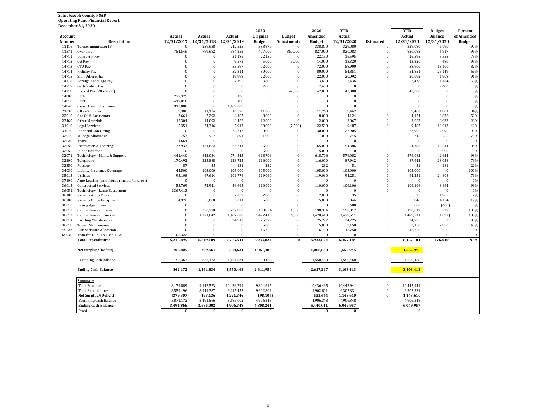|         | <b>Saint Joseph County PSAP</b>             |              |              |              |               |               |               |              |                         |                |                  |               |
|---------|---------------------------------------------|--------------|--------------|--------------|---------------|---------------|---------------|--------------|-------------------------|----------------|------------------|---------------|
|         | <b>Operating Fund Financial Report</b>      |              |              |              |               |               |               |              |                         |                |                  |               |
|         | <b>December 31, 2020</b>                    |              |              |              |               |               |               |              |                         |                |                  |               |
|         |                                             |              |              |              | 2020          |               | 2020          | <b>YTD</b>   |                         | <b>YTD</b>     | <b>Budget</b>    | Percent       |
| Account |                                             | Actual       | Actual       | Actual       | Original      | <b>Budget</b> | Amended       | Actual       |                         | Actual         | <b>Balance</b>   | of Amended    |
| Number  | <b>Description</b>                          | 12/31/2017   | 12/31/2018   | 12/31/2019   | <b>Budget</b> | Adjustments   | <b>Budget</b> | 12/31/2020   | Estimated               | 12/31/2020     | 12/31/2020       | <b>Budget</b> |
| 11416   | Telecommunicator IV                         | $\Omega$     | 259,638      | 242,525      | 338,870       | $\Omega$      | 338,870       | 329,080      | $\bf{0}$                | 329,080        | 9,790            | 97%           |
| 11571   | Overtime                                    | 754,546      | 799,682      | 584,353      | 477,000       | 350,000       | 827,000       | 820,083      | $\bf{0}$                | 820,083        | 6,917            | 99%           |
| 14711   | Longevity Pay                               | $\theta$     | $\Omega$     | 21,186       | 22,150        | $\theta$      | 22,150        | 16,595       | $\bf{0}$                | 16,595         | 5,555            | 75%           |
| 14712   | QA Pay                                      | $\Omega$     | $\Omega$     | 9,573        | 5,000         | 9,000         | 14,000        | 13,320       | $\bf{0}$                | 13,320         | 680              | 95%           |
| 14713   | CTO Pay                                     | $\Omega$     | $\Omega$     | 53,597       | 72,000        | $\Omega$      | 72,000        | 58,900       | $\bf{0}$                | 58,900         | 13,100           | 82%           |
| 14714   | <b>Holiday Pay</b>                          | $\Omega$     | $\Omega$     | 52,314       | 80,000        | $\Omega$      | 80,000        | 54,851       | $\bf{0}$                | 54,851         | 25,149           | 69%           |
| 14715   | Shift Differential                          |              | $\Omega$     | 19,998       | 22,000        | $\Omega$      | 22,000        | 20,092       | $\Omega$                | 20,092         | 1,908            | 91%           |
| 14716   | Foreign Language Pay                        |              | $\Omega$     | 2,795        | 3,600         | $\Omega$      | 3,600         | 2,436        | $\bf{0}$                | 2,436          | 1,164            | 68%           |
| 14717   | Certification Pay                           | $\theta$     | $\Omega$     | $\mathbf{0}$ | 7,600         | $\Omega$      | 7,600         | $\theta$     | $\bf{0}$                | $\Omega$       | 7,600            | 0%            |
| 14718   | Hazard Pay (70 x \$600)                     | $\Omega$     | $\Omega$     | $\mathbf{0}$ | $\mathbf{0}$  | 42,000        | 42,000        | 42,000       | $\bf{0}$                | 42,000         | $\overline{0}$   | 0%            |
| 14800   | <b>FICA</b>                                 | 277,375      | $\bf{0}$     | 126          | $\mathbf{0}$  | $\bf{0}$      | $\bf{0}$      | $\theta$     | $\mathbf{0}$            | $\Omega$       | $\boldsymbol{0}$ | 0%            |
| 14810   | PERF                                        | 417,810      | $\Omega$     | 188          | $\Omega$      | $\Omega$      | $\Omega$      | $\Omega$     | $\bf{0}$                | $\Omega$       | $\overline{0}$   | 0%            |
| 14840   | Group Health Insurance                      | 912,000      | $\mathbf{0}$ | 1,169,000    | $\mathbf{0}$  | $\bf{0}$      | $\bf{0}$      | $\Omega$     | $\bf{0}$                | $\overline{0}$ | $\bf{0}$         | 0%            |
| 21030   | Office Supplies                             | 9,308        | 11,124       | 10,570       | 11,263        | $\Omega$      | 11,263        | 9,462        | $\Omega$                | 9,462          | 1,801            | 84%           |
| 22010   | Gas Oil & Lubricants                        | 3,661        | 7,292        | 6,107        | 8,000         | $\Omega$      | 8,000         | 4,124        | $\theta$                | 4,124          | 3,876            | 52%           |
| 23460   | Other Materials                             | 12,304       | 14,092       | 3,462        | 12,000        | $\Omega$      | 12,000        | 3,067        | $\Omega$                | 3,067          | 8,933            | 26%           |
| 31010   | <b>Legal Services</b>                       | 5,351        | 24,316       | 5,913        | 30,000        | (7,500)       | 22,500        | 9,487        | $\Omega$                | 9,487          | 13,013           | 42%           |
| 31070   | <b>Financial Consulting</b>                 | $\Omega$     | $\Omega$     | 26,747       | 30,000        | $\mathbf{0}$  | 30,000        | 27,905       | $\theta$                | 27,905         | 2,095            | 93%           |
| 32010   | Mileage Allowance                           | 657          | 957          | 891          | 1,000         | $\theta$      | 1,000         | 745          | $\Omega$                | 745            | 255              | 75%           |
| 32020   | Travel                                      | 1,664        | $\Omega$     | $\Omega$     | $\Omega$      | $\Omega$      | $\Omega$      | $\Omega$     | $\mathbf{0}$            | $\Omega$       | $\Omega$         | 0%            |
| 32050   | <b>Instruction &amp; Training</b>           | 33,933       | 121,662      | 64,241       | 65,000        | $\theta$      | 65,000        | 54,386       | $\mathbf{0}$            | 54,386         | 10,614           | 84%           |
| 32055   | <b>Public Eduation</b>                      | $\Omega$     | $\Omega$     | $\Omega$     | 5,000         | $\Omega$      | 5,000         | $\Omega$     | $\mathbf{0}$            | $\Omega$       | 5,000            | 0%            |
| 32071   | Technology - Maint. & Support               | 441,440      | 842,034      | 774,545      | 618,706       | $\theta$      | 618,706       | 576,082      | $\bf{0}$                | 576,082        | 42,624           | 93%           |
| 32200   | Telephone                                   | 170,492      | 225,888      | 123,725      | 116,000       | $\Omega$      | 116,000       | 87,942       | $\bf{0}$                | 87,942         | 28,058           | 76%           |
| 32350   | Postage                                     | 87           | 55           | 131          | 232           | $\Omega$      | 232           | 51           | $\Omega$                | 51             | 181              | 22%           |
| 34030   | Liabiity Insurance Coverage                 | 44,500       | 105,000      | 105,000      | 105,000       | $\Omega$      | 105,000       | 105,000      | $\bf{0}$                | 105,000        | $\overline{0}$   | 100%          |
| 35015   | Utilities                                   | 95,108       | 97,614       | 101,776      | 119,060       | $\Omega$      | 119,060       | 94,251       | $\bf{0}$                | 94,251         | 24,808           | 79%           |
| 37100   | Auto Leasing (paid from principal/interest) | $\theta$     | $\Omega$     | $\Omega$     | $\sqrt{ }$    | $\Omega$      | $\Omega$      | $\Omega$     | $\bf{0}$                | $\Omega$       | $\bf{0}$         | 0%            |
| 36015   | <b>Contractual Services</b>                 | 55,769       | 72,941       | 56,665       | 110,000       | $\bf{0}$      | 110,000       | 106,106      | $\mathbf{0}$            | 106,106        | 3,894            | 96%           |
| 36051   | Technology - Lease Equipment                | 1,367,413    | $\mathbf{0}$ | $\mathbf{0}$ | $\Omega$      | $\Omega$      | $\Omega$      | $\Omega$     | $\bf{0}$                | $\Omega$       | $\bf{0}$         | 0%            |
| 36100   | Repair - Auto/Truck                         | $\Omega$     | $\bf{0}$     | 2,353        | 2,000         | $\bf{0}$      | 2,000         | 35           | $\bf{0}$                | 35             | 1,965            | 2%            |
| 36300   | Repair - Office Equipment                   | 4,976        | 5,000        | 3,011        | 5,000         | $\theta$      | 5,000         | 846          | $\bf{0}$                | 846            | 4,154            | 17%           |
| 38010   | Paying Agent Fees                           | C            | $\Omega$     | $\Omega$     | $\sqrt{ }$    | $\Omega$      | $\Omega$      | 600          | $\bf{0}$                | 600            | (600)            | 0%            |
| 38012   | Capital Lease - Interest                    | $\Omega$     | 250,338      | 222,852      | 188,854       | 1,500         | 190,354       | 190,017      | $\bf{0}$                | 190,017        | 337              | 100%          |
| 38013   | Capital Lease - Principal                   | $\Omega$     | 1,371,042    | 1,402,620    | 1,472,418     | 6,000         | 1,478,418     | 1,479,511    | $\Omega$                | 1,479,511      | (1,093)          | 100%          |
| 36011   | <b>Building Maintenance</b>                 | $\Omega$     | $\Omega$     | 24,912       | 25,277        | $\mathbf{0}$  | 25,277        | 24,725       | $\Omega$                | 24,725         | 552              | 98%           |
| 36018   | <b>Tower Maintenance</b>                    | $\Omega$     | $\theta$     | $\Omega$     | 5,000         | $\Omega$      | 5,000         | 2,150        | $\Omega$                | 2,150          | 2,850            | 43%           |
| 45523   | <b>ERP Software Allocation</b>              |              | $\theta$     | $\Omega$     | 16,750        | $\Omega$      | 16,750        | 16,750       | $\theta$                | 16,750         | $\Omega$         | 0%            |
| 65030   | Transfer Out - To Fund 1222                 | 106,322      | $\Omega$     | $\Omega$     | £             | $\Omega$      |               |              | $\theta$                | $\Omega$       | $\Omega$         | 0%            |
|         |                                             | 5,215,895    | 6,649,189    | 7,705,541    | 6,933,824     | $\bf{0}$      | 6,933,824     | 6,457,184    | $\overline{\mathbf{0}}$ | 6,457,184      | 476,640          | 93%           |
|         | <b>Total Expenditures</b>                   |              |              |              |               |               |               |              |                         |                |                  |               |
|         | Net Surplus/(Deficit)                       | 706,805      | 299,661      | 388,634      | 1,061,483     |               | 1,066,830     | 1,552,945    | $\bf{0}$                | 1,552,945      |                  |               |
|         |                                             |              |              |              |               |               |               |              |                         |                |                  |               |
|         | Beginning Cash Balance                      | 155,367      | 862,172      | 1,161,834    | 1,550,468     |               | 1,550,468     | 1,550,468    |                         | 1,550,468      |                  |               |
|         | <b>Ending Cash Balance</b>                  | 862,172      | 1,161,834    | 1,550,468    | 2,611,950     |               | 2,617,297     | 3,103,413    |                         | 3,103,413      |                  |               |
|         | Summarv                                     |              |              |              |               |               |               |              |                         |                |                  |               |
|         | <b>Total Revenue</b>                        | 8,179,889    | 9,142,523    | 10,436,799   | 9,804,695     |               | 10,436,465    | 10,445,941   | $\bf{0}$                | 10,445,941     |                  |               |
|         | <b>Total Expenditures</b>                   | 8,559,196    | 8,949,387    | 9,215,453    | 9,902,801     |               | 9,902,801     | 9,302,331    | $\bf{0}$                | 9,302,331      |                  |               |
|         | Net Surplus/(Deficit)                       | (379, 307)   | 193,136      | 1,221,346    | (98, 106)     |               | 533,664       | 1,143,610    | $\bf{0}$                | 1,143,610      |                  |               |
|         | Beginning Cash Balance                      | 3,871,172    | 3,491,866    | 3,685,002    | 4,906,348     |               | 4,906,348     | 4,906,348    |                         | 4,906,348      |                  |               |
|         | <b>Ending Cash Balance</b>                  | 3,491,866    | 3,685,002    | 4,906,348    | 4,808,241     |               | 5,440,011     | 6,049,957    |                         | 6,049,957      |                  |               |
|         | Proof                                       | $\mathbf{0}$ | $\mathbf{0}$ | $\mathbf{0}$ | $\mathbf{0}$  |               | $\bf{0}$      | $\mathbf{0}$ |                         | $\mathbf{0}$   |                  |               |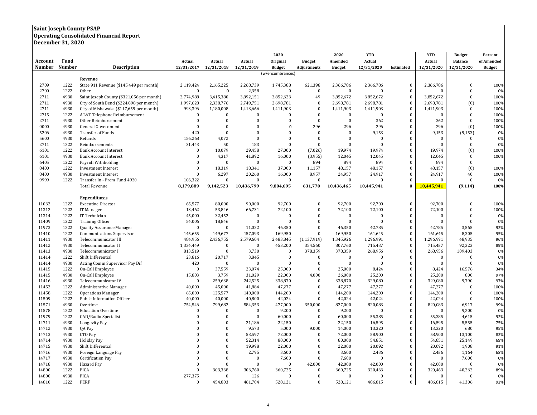#### **Saint Joseph County PSAP**

**Operating Consolidated Financial Report**

**December 31, 2020**

| Fund<br>Account<br>Actual<br>Actual<br>Actual<br>Original<br><b>Budget</b><br>Amended<br>Actual<br>Actual<br><b>Balance</b><br>of Amended<br>Number<br>Number<br><b>Description</b><br>12/31/2017<br>12/31/2018<br>12/31/2019<br>12/31/2020<br>12/31/2020<br>12/31/2020<br><b>Budget</b><br>Adjustments<br><b>Budget</b><br>Estimated<br><b>Budget</b><br>(w/encumbrances)<br>Revenue<br>2709<br>1222<br>State 911 Revenue (\$145,449 per month)<br>2,119,424<br>2,165,225<br>2,268,739<br>1,745,388<br>621,398<br>2,366,786<br>2,366,786<br>$\bf{0}$<br>2,366,786<br>$\mathbf{0}$<br>100%<br>2700<br>1222<br>$\bf{0}$<br>2,358<br>$\mathbf{0}$<br>$\bf{0}$<br>Other<br>$\mathbf 0$<br>$\bf{0}$<br>$\mathbf{0}$<br>$\Omega$<br>$\mathbf{0}$<br>0%<br>$\Omega$<br>2711<br>4930<br>49<br>3,852,672<br>$\mathbf{0}$<br>$\mathbf{0}$<br>Saint Joseph County (\$321,056 per month)<br>2,774,988<br>3,415,380<br>3,892,151<br>3,852,623<br>3,852,672<br>3,852,672<br>100%<br>$\mathbf{0}$<br>2711<br>4930<br>City of South Bend (\$224,898 per month)<br>1,997,628<br>2,338,776<br>2,749,751<br>2,698,781<br>$\mathbf{0}$<br>2,698,781<br>2,698,781<br>2,698,781<br>(0)<br>100%<br>2711<br>4930<br>993,396<br>$\bf{0}$<br>1,411,903<br>1,411,903<br>$\bf{0}$<br>1,411,903<br>100%<br>City of Mishawaka (\$117,659 per month)<br>1,180,008<br>1,413,666<br>1,411,903<br>$\mathbf{0}$<br>2715<br>1222<br>$\mathbf{0}$<br>$\bf{0}$<br>$\bf{0}$<br>$\mathbf{0}$<br>100%<br>AT&T Telephone Reimbursement<br>$\bf{0}$<br>$\mathbf{0}$<br>$\Omega$<br>$\mathbf{0}$<br>$\Omega$<br>$\Omega$<br>$\mathbf{0}$<br>4930<br>$\bf{0}$<br>$\mathbf{0}$<br>$\Omega$<br>$\mathbf{0}$<br>$\bf{0}$<br>362<br>$\mathbf{0}$<br>100%<br>2711<br>Other Reimbursement<br>$\Omega$<br>362<br>0000<br>$\mathbf{0}$<br>296<br>296<br>$\mathbf{0}$<br>(0)<br>4930<br>General Government<br>$\mathbf{0}$<br>$\Omega$<br>$\mathbf 0$<br>296<br>296<br>100%<br>420<br>$\theta$<br>9,153<br>$\mathbf{0}$<br>5206<br>4930<br>Transfer of Funds<br>$\mathbf{0}$<br>$\Omega$<br>$\boldsymbol{0}$<br>$\mathbf{0}$<br>9,153<br>(9, 153)<br>0%<br>$\theta$<br>$\bf{0}$<br>$\boldsymbol{0}$<br>5600<br>4930<br>Refunds<br>156,268<br>4,072<br>$\Omega$<br>$\theta$<br>$\bf{0}$<br>0%<br>$\bf{0}$<br>$\bf{0}$<br>1222<br>Reimbursements<br>50<br>183<br>$\theta$<br>$\bf{0}$<br>$\mathbf{0}$<br>$\bf{0}$<br>2711<br>31,443<br>$\mathbf{0}$<br>$\mathbf{0}$<br>$\mathbf{0}$<br>0%<br>6101<br>1222<br>$\bf{0}$<br>10,079<br>29,458<br>27,000<br>(7,026)<br>19,974<br>19,974<br>$\boldsymbol{0}$<br>19,974<br>(0)<br>100%<br><b>Bank Account Interest</b><br>$\mathbf{0}$<br>4930<br>$\Omega$<br>4,317<br>41,892<br>16,000<br>(3,955)<br>12,045<br>12,045<br>$\mathbf{0}$<br>100%<br>6101<br><b>Bank Account Interest</b><br>12,045<br>894<br>$\mathbf{0}$<br>6405<br>1222<br>Payroll Withholding<br>$\Omega$<br>$\mathbf{0}$<br>$\mathbf{0}$<br>894<br>894<br>894<br>$\mathbf{0}$<br>$\Omega$<br>1222<br>8400<br><b>Investment Interest</b><br>$\Omega$<br>18,319<br>18,341<br>37,000<br>11,157<br>48,157<br>48,157<br>$\mathbf{0}$<br>48,157<br>(0)<br>100%<br>$\mathbf{0}$<br>8,957<br>24,957<br>24,917<br>$\bf{0}$<br>40<br>100%<br>8400<br>4930<br>6,297<br>20,260<br>16,000<br>24,917<br><b>Investment Interest</b><br>$\mathbf{0}$<br>9999<br>1222<br>Transfer In - From Fund 4930<br>106,322<br>$\mathbf{0}$<br>$\Omega$<br>$\Omega$<br>$\theta$<br>$\mathbf{0}$<br>$\Omega$<br>$\mathbf{0}$<br>$\theta$<br>0%<br>9,142,523<br>10,436,799<br>9,804,695<br>631,770<br>10,436,465<br>8,179,889<br>10,445,941<br>$\bf{0}$<br>10,445,941<br>(9, 114)<br>100%<br><b>Total Revenue</b><br><b>Expenditures</b><br>11032<br>1222<br><b>Executive Director</b><br>65,577<br>80,000<br>90,000<br>92,700<br>$\mathbf{0}$<br>92,700<br>92,700<br>$\mathbf{0}$<br>92,700<br>$\theta$<br>100%<br>11312<br>1222<br>13,462<br>53,846<br>66,731<br>72,100<br>$\bf{0}$<br>72,100<br>72,100<br>$\bf{0}$<br>72,100<br>$\mathbf{0}$<br>100%<br>IT Manager<br>$\mathbf{0}$<br>11314<br>1222<br>IT Technician<br>45,000<br>$\mathbf{0}$<br>$\bf{0}$<br>$\bf{0}$<br>32,452<br>$\mathbf{0}$<br>$\mathbf{0}$<br>$\mathbf{0}$<br>$\mathbf{0}$<br>0%<br>11409<br>1222<br><b>Training Officer</b><br>54,006<br>18,846<br>$\mathbf{0}$<br>$\theta$<br>$\mathbf{0}$<br>$\theta$<br>0%<br>$\Omega$<br>$\Omega$<br>$\Omega$<br>$\theta$<br>11973<br>1222<br>$\mathbf{0}$<br>11,022<br>46,350<br>$\Omega$<br>46,350<br>42,785<br>$\mathbf{0}$<br>42,785<br>3,565<br>92%<br>Quality Assurance Manager<br>$\mathbf{0}$<br>1222<br>157,093<br>$\mathbf{0}$<br>95%<br>11410<br>145,655<br>149,677<br>169,950<br>$\mathbf{0}$<br>169,950<br>161,645<br>8,305<br><b>Communications Supervisor</b><br>161,645<br>4930<br>$\bf{0}$<br>96%<br>11411<br>Telecommunicator III<br>484,956<br>2,436,755<br>2,579,604<br>2,483,845<br>(1, 137, 919)<br>1,345,926<br>1,296,991<br>1,296,991<br>48,935<br>4930<br>$\boldsymbol{0}$<br>92,323<br>89%<br>11412<br>Telecommunicator II<br>1,334,449<br>$\mathbf{0}$<br>$\bf{0}$<br>453,200<br>354,560<br>807,760<br>715,437<br>715,437<br>11413<br>4930<br>813,519<br>$\bf{0}$<br>3,730<br>$\bf{0}$<br>378,359<br>378,359<br>268,956<br>$\bf{0}$<br>268,956<br>109,403<br>0%<br>Telecommunicator I<br>$\bf{0}$<br>1222<br>3,845<br>$\Omega$<br>0%<br>11414<br>Shift Differential<br>23,816<br>20,717<br>$\bf{0}$<br>$\mathbf{0}$<br>$\Omega$<br>$\bf{0}$<br>$\Omega$<br>$\mathbf{0}$<br>11414<br>4930<br>Acting Comm Supervisor Pay Dif<br>420<br>$\mathbf{0}$<br>$\mathbf{0}$<br>$\Omega$<br>$\theta$<br>0%<br>$\Omega$<br>$\Omega$<br>$\Omega$<br>$\Omega$<br>$\mathbf{0}$<br>11415<br>1222<br>On-Call Employee<br>$\bf{0}$<br>37,559<br>23,074<br>25,000<br>$\boldsymbol{0}$<br>25,000<br>8,424<br>8,424<br>16,576<br>34%<br>4930<br>31,029<br>$\bf{0}$<br>800<br>97%<br>11415<br>On-Call Employee<br>15,803<br>3,759<br>22,000<br>26,000<br>25,200<br>25,200<br>4,000<br>4930<br>$\mathbf{0}$<br>9,790<br>97%<br>11416<br>Telecommunicator IV<br>$\bf{0}$<br>259,638<br>242,525<br>338,870<br>338,870<br>329,080<br>329,080<br>$\mathbf{0}$<br>11452<br>1222<br>40,000<br>45,000<br>41,884<br>47,277<br>47,277<br>47,277<br>$\bf{0}$<br>47,277<br>$\theta$<br>100%<br>Administrative Manager<br>$\bf{0}$<br>1222<br>$\bf{0}$<br>11458<br><b>Operations Manager</b><br>125,577<br>140,000<br>144,200<br>$\mathbf{0}$<br>144,200<br>144,200<br>$\theta$<br>100%<br>65,000<br>144,200<br>1222<br>$\mathbf{0}$<br>11509<br><b>Public Information Officer</b><br>40,000<br>40,000<br>40,800<br>$\Omega$<br>42,024<br>42,024<br>$\theta$<br>100%<br>42,024<br>42,024<br>4930<br>$\mathbf{0}$<br>11571<br>Overtime<br>754,546<br>799,682<br>584,353<br>477,000<br>350,000<br>827,000<br>820,083<br>820,083<br>6,917<br>99%<br>11578<br>1222<br>9,200<br>$\bf{0}$<br>9,200<br><b>Education Overtime</b><br>$\bf{0}$<br>$\bf{0}$<br>$\Omega$<br>$\bf{0}$<br>9,200<br>$\Omega$<br>$\bf{0}$<br>0%<br>11979<br>1222<br>$\bf{0}$<br>$\overline{0}$<br>$\bf{0}$<br>92%<br>CAD/Radio Specialist<br>$\mathbf{0}$<br>60,000<br>$\bf{0}$<br>60,000<br>55,385<br>55,385<br>4,615<br>14711<br>4930<br>$\Omega$<br>$\bf{0}$<br>16,595<br>5,555<br>75%<br>Longevity Pay<br>$\Omega$<br>21,186<br>22,150<br>$\mathbf{0}$<br>22,150<br>16,595<br>$\bf{0}$<br>680<br>14712<br>4930<br>QA Pay<br>$\Omega$<br>$\mathbf{0}$<br>9,573<br>5,000<br>9,000<br>14,000<br>13,320<br>13,320<br>95%<br>14713<br>$\Omega$<br>53,597<br>$\mathbf{0}$<br>82%<br>4930<br>CTO Pay<br>$\theta$<br>72,000<br>$\theta$<br>72,000<br>58,900<br>58,900<br>13,100<br>14714<br>4930<br><b>Holiday Pay</b><br>$\Omega$<br>52,314<br>80,000<br>80,000<br>54,851<br>$\mathbf{0}$<br>54,851<br>25,149<br>69%<br>$\Omega$<br>$\Omega$<br>4930<br>$\Omega$<br>19,998<br>$\bf{0}$<br>14715<br>Shift Differential<br>$\Omega$<br>22,000<br>$\Omega$<br>22,000<br>20,092<br>20,092<br>1,908<br>91%<br>14716<br>4930<br>$\theta$<br>$\bf{0}$<br>2,795<br>$\mathbf{0}$<br>$\bf{0}$<br>68%<br>Foreign Language Pay<br>3,600<br>3,600<br>2,436<br>2,436<br>1,164<br>4930<br>$\Omega$<br>$\mathbf{0}$<br>14717<br>Certification Pay<br>$\Omega$<br>$\mathbf{0}$<br>7,600<br>$\mathbf{0}$<br>7,600<br>$\Omega$<br>$\Omega$<br>7,600<br>0%<br>$\bf{0}$<br>14718<br>4930<br>Hazard Pay<br>$\Omega$<br>$\mathbf{0}$<br>$\Omega$<br>42,000<br>42,000<br>42,000<br>$\theta$<br>$\bf{0}$<br>42,000<br>0%<br>14800<br>1222<br>$\theta$<br>303,368<br>360,725<br>$\bf{0}$<br>89%<br><b>FICA</b><br>306,760<br>360,725<br>$\boldsymbol{0}$<br>320,463<br>320,463<br>40,262<br>4930<br><b>FICA</b><br>$\mathbf{0}$<br>14800<br>277,375<br>$\Omega$<br>126<br>$\mathbf{0}$<br>$\mathbf{0}$<br>0%<br>$\Omega$<br>$\Omega$<br>$\Omega$<br>$\Omega$<br>$\mathbf{0}$<br>$\Omega$ |       |      |      |          |         |         | 2020    | 2020    | <b>YTD</b> | <b>YTD</b> | <b>Budget</b> | Percent |
|----------------------------------------------------------------------------------------------------------------------------------------------------------------------------------------------------------------------------------------------------------------------------------------------------------------------------------------------------------------------------------------------------------------------------------------------------------------------------------------------------------------------------------------------------------------------------------------------------------------------------------------------------------------------------------------------------------------------------------------------------------------------------------------------------------------------------------------------------------------------------------------------------------------------------------------------------------------------------------------------------------------------------------------------------------------------------------------------------------------------------------------------------------------------------------------------------------------------------------------------------------------------------------------------------------------------------------------------------------------------------------------------------------------------------------------------------------------------------------------------------------------------------------------------------------------------------------------------------------------------------------------------------------------------------------------------------------------------------------------------------------------------------------------------------------------------------------------------------------------------------------------------------------------------------------------------------------------------------------------------------------------------------------------------------------------------------------------------------------------------------------------------------------------------------------------------------------------------------------------------------------------------------------------------------------------------------------------------------------------------------------------------------------------------------------------------------------------------------------------------------------------------------------------------------------------------------------------------------------------------------------------------------------------------------------------------------------------------------------------------------------------------------------------------------------------------------------------------------------------------------------------------------------------------------------------------------------------------------------------------------------------------------------------------------------------------------------------------------------------------------------------------------------------------------------------------------------------------------------------------------------------------------------------------------------------------------------------------------------------------------------------------------------------------------------------------------------------------------------------------------------------------------------------------------------------------------------------------------------------------------------------------------------------------------------------------------------------------------------------------------------------------------------------------------------------------------------------------------------------------------------------------------------------------------------------------------------------------------------------------------------------------------------------------------------------------------------------------------------------------------------------------------------------------------------------------------------------------------------------------------------------------------------------------------------------------------------------------------------------------------------------------------------------------------------------------------------------------------------------------------------------------------------------------------------------------------------------------------------------------------------------------------------------------------------------------------------------------------------------------------------------------------------------------------------------------------------------------------------------------------------------------------------------------------------------------------------------------------------------------------------------------------------------------------------------------------------------------------------------------------------------------------------------------------------------------------------------------------------------------------------------------------------------------------------------------------------------------------------------------------------------------------------------------------------------------------------------------------------------------------------------------------------------------------------------------------------------------------------------------------------------------------------------------------------------------------------------------------------------------------------------------------------------------------------------------------------------------------------------------------------------------------------------------------------------------------------------------------------------------------------------------------------------------------------------------------------------------------------------------------------------------------------------------------------------------------------------------------------------------------------------------------------------------------------------------------------------------------------------------------------------------------------------------------------------------------------------------------------------------------------------------------------------------------------------------------------------------------------------------------------------------------------------------------------------------------------------------------------------------------------------------------------------------------------------------------------------------------------------------------------------------------------------------------------------------------------------------------------------------------------------------------------------------------------------------------------------------------------------------------------------------------------------------------------------------------------------------------------------------------------------------------------------------------------------------------------------------------------------------------------------------------------------------------------------------------------------------------------------------------------------------------------------------------------------------------------------------------------------------------------------------------------------------------------------------------------------------------------------------------------------------------------------------------------------------------------------------------------------------------------------------------------------------------------------------------------------------------------------------------------------------------------------------------------------------------------------------------------------------------------------------------------------------------------------------------------------------------------------------------------------------------------------------------------------------------------------------------------------------------------------------------------------------------------------------------------------------------------------------------------------------------------------------------------------------------------------------------------------------------------------------------------------------------------------------------------------------------------------------------------|-------|------|------|----------|---------|---------|---------|---------|------------|------------|---------------|---------|
|                                                                                                                                                                                                                                                                                                                                                                                                                                                                                                                                                                                                                                                                                                                                                                                                                                                                                                                                                                                                                                                                                                                                                                                                                                                                                                                                                                                                                                                                                                                                                                                                                                                                                                                                                                                                                                                                                                                                                                                                                                                                                                                                                                                                                                                                                                                                                                                                                                                                                                                                                                                                                                                                                                                                                                                                                                                                                                                                                                                                                                                                                                                                                                                                                                                                                                                                                                                                                                                                                                                                                                                                                                                                                                                                                                                                                                                                                                                                                                                                                                                                                                                                                                                                                                                                                                                                                                                                                                                                                                                                                                                                                                                                                                                                                                                                                                                                                                                                                                                                                                                                                                                                                                                                                                                                                                                                                                                                                                                                                                                                                                                                                                                                                                                                                                                                                                                                                                                                                                                                                                                                                                                                                                                                                                                                                                                                                                                                                                                                                                                                                                                                                                                                                                                                                                                                                                                                                                                                                                                                                                                                                                                                                                                                                                                                                                                                                                                                                                                                                                                                                                                                                                                                                                                                                                                                                                                                                                                                                                                                                                                                                                                                                                                                                                                                                                                                                                                                                                                                                                                                                                                                                                                                                                                                                          |       |      |      |          |         |         |         |         |            |            |               |         |
|                                                                                                                                                                                                                                                                                                                                                                                                                                                                                                                                                                                                                                                                                                                                                                                                                                                                                                                                                                                                                                                                                                                                                                                                                                                                                                                                                                                                                                                                                                                                                                                                                                                                                                                                                                                                                                                                                                                                                                                                                                                                                                                                                                                                                                                                                                                                                                                                                                                                                                                                                                                                                                                                                                                                                                                                                                                                                                                                                                                                                                                                                                                                                                                                                                                                                                                                                                                                                                                                                                                                                                                                                                                                                                                                                                                                                                                                                                                                                                                                                                                                                                                                                                                                                                                                                                                                                                                                                                                                                                                                                                                                                                                                                                                                                                                                                                                                                                                                                                                                                                                                                                                                                                                                                                                                                                                                                                                                                                                                                                                                                                                                                                                                                                                                                                                                                                                                                                                                                                                                                                                                                                                                                                                                                                                                                                                                                                                                                                                                                                                                                                                                                                                                                                                                                                                                                                                                                                                                                                                                                                                                                                                                                                                                                                                                                                                                                                                                                                                                                                                                                                                                                                                                                                                                                                                                                                                                                                                                                                                                                                                                                                                                                                                                                                                                                                                                                                                                                                                                                                                                                                                                                                                                                                                                                          |       |      |      |          |         |         |         |         |            |            |               |         |
|                                                                                                                                                                                                                                                                                                                                                                                                                                                                                                                                                                                                                                                                                                                                                                                                                                                                                                                                                                                                                                                                                                                                                                                                                                                                                                                                                                                                                                                                                                                                                                                                                                                                                                                                                                                                                                                                                                                                                                                                                                                                                                                                                                                                                                                                                                                                                                                                                                                                                                                                                                                                                                                                                                                                                                                                                                                                                                                                                                                                                                                                                                                                                                                                                                                                                                                                                                                                                                                                                                                                                                                                                                                                                                                                                                                                                                                                                                                                                                                                                                                                                                                                                                                                                                                                                                                                                                                                                                                                                                                                                                                                                                                                                                                                                                                                                                                                                                                                                                                                                                                                                                                                                                                                                                                                                                                                                                                                                                                                                                                                                                                                                                                                                                                                                                                                                                                                                                                                                                                                                                                                                                                                                                                                                                                                                                                                                                                                                                                                                                                                                                                                                                                                                                                                                                                                                                                                                                                                                                                                                                                                                                                                                                                                                                                                                                                                                                                                                                                                                                                                                                                                                                                                                                                                                                                                                                                                                                                                                                                                                                                                                                                                                                                                                                                                                                                                                                                                                                                                                                                                                                                                                                                                                                                                                          |       |      |      |          |         |         |         |         |            |            |               |         |
|                                                                                                                                                                                                                                                                                                                                                                                                                                                                                                                                                                                                                                                                                                                                                                                                                                                                                                                                                                                                                                                                                                                                                                                                                                                                                                                                                                                                                                                                                                                                                                                                                                                                                                                                                                                                                                                                                                                                                                                                                                                                                                                                                                                                                                                                                                                                                                                                                                                                                                                                                                                                                                                                                                                                                                                                                                                                                                                                                                                                                                                                                                                                                                                                                                                                                                                                                                                                                                                                                                                                                                                                                                                                                                                                                                                                                                                                                                                                                                                                                                                                                                                                                                                                                                                                                                                                                                                                                                                                                                                                                                                                                                                                                                                                                                                                                                                                                                                                                                                                                                                                                                                                                                                                                                                                                                                                                                                                                                                                                                                                                                                                                                                                                                                                                                                                                                                                                                                                                                                                                                                                                                                                                                                                                                                                                                                                                                                                                                                                                                                                                                                                                                                                                                                                                                                                                                                                                                                                                                                                                                                                                                                                                                                                                                                                                                                                                                                                                                                                                                                                                                                                                                                                                                                                                                                                                                                                                                                                                                                                                                                                                                                                                                                                                                                                                                                                                                                                                                                                                                                                                                                                                                                                                                                                                          |       |      |      |          |         |         |         |         |            |            |               |         |
|                                                                                                                                                                                                                                                                                                                                                                                                                                                                                                                                                                                                                                                                                                                                                                                                                                                                                                                                                                                                                                                                                                                                                                                                                                                                                                                                                                                                                                                                                                                                                                                                                                                                                                                                                                                                                                                                                                                                                                                                                                                                                                                                                                                                                                                                                                                                                                                                                                                                                                                                                                                                                                                                                                                                                                                                                                                                                                                                                                                                                                                                                                                                                                                                                                                                                                                                                                                                                                                                                                                                                                                                                                                                                                                                                                                                                                                                                                                                                                                                                                                                                                                                                                                                                                                                                                                                                                                                                                                                                                                                                                                                                                                                                                                                                                                                                                                                                                                                                                                                                                                                                                                                                                                                                                                                                                                                                                                                                                                                                                                                                                                                                                                                                                                                                                                                                                                                                                                                                                                                                                                                                                                                                                                                                                                                                                                                                                                                                                                                                                                                                                                                                                                                                                                                                                                                                                                                                                                                                                                                                                                                                                                                                                                                                                                                                                                                                                                                                                                                                                                                                                                                                                                                                                                                                                                                                                                                                                                                                                                                                                                                                                                                                                                                                                                                                                                                                                                                                                                                                                                                                                                                                                                                                                                                                          |       |      |      |          |         |         |         |         |            |            |               |         |
|                                                                                                                                                                                                                                                                                                                                                                                                                                                                                                                                                                                                                                                                                                                                                                                                                                                                                                                                                                                                                                                                                                                                                                                                                                                                                                                                                                                                                                                                                                                                                                                                                                                                                                                                                                                                                                                                                                                                                                                                                                                                                                                                                                                                                                                                                                                                                                                                                                                                                                                                                                                                                                                                                                                                                                                                                                                                                                                                                                                                                                                                                                                                                                                                                                                                                                                                                                                                                                                                                                                                                                                                                                                                                                                                                                                                                                                                                                                                                                                                                                                                                                                                                                                                                                                                                                                                                                                                                                                                                                                                                                                                                                                                                                                                                                                                                                                                                                                                                                                                                                                                                                                                                                                                                                                                                                                                                                                                                                                                                                                                                                                                                                                                                                                                                                                                                                                                                                                                                                                                                                                                                                                                                                                                                                                                                                                                                                                                                                                                                                                                                                                                                                                                                                                                                                                                                                                                                                                                                                                                                                                                                                                                                                                                                                                                                                                                                                                                                                                                                                                                                                                                                                                                                                                                                                                                                                                                                                                                                                                                                                                                                                                                                                                                                                                                                                                                                                                                                                                                                                                                                                                                                                                                                                                                                          |       |      |      |          |         |         |         |         |            |            |               |         |
|                                                                                                                                                                                                                                                                                                                                                                                                                                                                                                                                                                                                                                                                                                                                                                                                                                                                                                                                                                                                                                                                                                                                                                                                                                                                                                                                                                                                                                                                                                                                                                                                                                                                                                                                                                                                                                                                                                                                                                                                                                                                                                                                                                                                                                                                                                                                                                                                                                                                                                                                                                                                                                                                                                                                                                                                                                                                                                                                                                                                                                                                                                                                                                                                                                                                                                                                                                                                                                                                                                                                                                                                                                                                                                                                                                                                                                                                                                                                                                                                                                                                                                                                                                                                                                                                                                                                                                                                                                                                                                                                                                                                                                                                                                                                                                                                                                                                                                                                                                                                                                                                                                                                                                                                                                                                                                                                                                                                                                                                                                                                                                                                                                                                                                                                                                                                                                                                                                                                                                                                                                                                                                                                                                                                                                                                                                                                                                                                                                                                                                                                                                                                                                                                                                                                                                                                                                                                                                                                                                                                                                                                                                                                                                                                                                                                                                                                                                                                                                                                                                                                                                                                                                                                                                                                                                                                                                                                                                                                                                                                                                                                                                                                                                                                                                                                                                                                                                                                                                                                                                                                                                                                                                                                                                                                                          |       |      |      |          |         |         |         |         |            |            |               |         |
|                                                                                                                                                                                                                                                                                                                                                                                                                                                                                                                                                                                                                                                                                                                                                                                                                                                                                                                                                                                                                                                                                                                                                                                                                                                                                                                                                                                                                                                                                                                                                                                                                                                                                                                                                                                                                                                                                                                                                                                                                                                                                                                                                                                                                                                                                                                                                                                                                                                                                                                                                                                                                                                                                                                                                                                                                                                                                                                                                                                                                                                                                                                                                                                                                                                                                                                                                                                                                                                                                                                                                                                                                                                                                                                                                                                                                                                                                                                                                                                                                                                                                                                                                                                                                                                                                                                                                                                                                                                                                                                                                                                                                                                                                                                                                                                                                                                                                                                                                                                                                                                                                                                                                                                                                                                                                                                                                                                                                                                                                                                                                                                                                                                                                                                                                                                                                                                                                                                                                                                                                                                                                                                                                                                                                                                                                                                                                                                                                                                                                                                                                                                                                                                                                                                                                                                                                                                                                                                                                                                                                                                                                                                                                                                                                                                                                                                                                                                                                                                                                                                                                                                                                                                                                                                                                                                                                                                                                                                                                                                                                                                                                                                                                                                                                                                                                                                                                                                                                                                                                                                                                                                                                                                                                                                                                          |       |      |      |          |         |         |         |         |            |            |               |         |
|                                                                                                                                                                                                                                                                                                                                                                                                                                                                                                                                                                                                                                                                                                                                                                                                                                                                                                                                                                                                                                                                                                                                                                                                                                                                                                                                                                                                                                                                                                                                                                                                                                                                                                                                                                                                                                                                                                                                                                                                                                                                                                                                                                                                                                                                                                                                                                                                                                                                                                                                                                                                                                                                                                                                                                                                                                                                                                                                                                                                                                                                                                                                                                                                                                                                                                                                                                                                                                                                                                                                                                                                                                                                                                                                                                                                                                                                                                                                                                                                                                                                                                                                                                                                                                                                                                                                                                                                                                                                                                                                                                                                                                                                                                                                                                                                                                                                                                                                                                                                                                                                                                                                                                                                                                                                                                                                                                                                                                                                                                                                                                                                                                                                                                                                                                                                                                                                                                                                                                                                                                                                                                                                                                                                                                                                                                                                                                                                                                                                                                                                                                                                                                                                                                                                                                                                                                                                                                                                                                                                                                                                                                                                                                                                                                                                                                                                                                                                                                                                                                                                                                                                                                                                                                                                                                                                                                                                                                                                                                                                                                                                                                                                                                                                                                                                                                                                                                                                                                                                                                                                                                                                                                                                                                                                                          |       |      |      |          |         |         |         |         |            |            |               |         |
|                                                                                                                                                                                                                                                                                                                                                                                                                                                                                                                                                                                                                                                                                                                                                                                                                                                                                                                                                                                                                                                                                                                                                                                                                                                                                                                                                                                                                                                                                                                                                                                                                                                                                                                                                                                                                                                                                                                                                                                                                                                                                                                                                                                                                                                                                                                                                                                                                                                                                                                                                                                                                                                                                                                                                                                                                                                                                                                                                                                                                                                                                                                                                                                                                                                                                                                                                                                                                                                                                                                                                                                                                                                                                                                                                                                                                                                                                                                                                                                                                                                                                                                                                                                                                                                                                                                                                                                                                                                                                                                                                                                                                                                                                                                                                                                                                                                                                                                                                                                                                                                                                                                                                                                                                                                                                                                                                                                                                                                                                                                                                                                                                                                                                                                                                                                                                                                                                                                                                                                                                                                                                                                                                                                                                                                                                                                                                                                                                                                                                                                                                                                                                                                                                                                                                                                                                                                                                                                                                                                                                                                                                                                                                                                                                                                                                                                                                                                                                                                                                                                                                                                                                                                                                                                                                                                                                                                                                                                                                                                                                                                                                                                                                                                                                                                                                                                                                                                                                                                                                                                                                                                                                                                                                                                                                          |       |      |      |          |         |         |         |         |            |            |               |         |
|                                                                                                                                                                                                                                                                                                                                                                                                                                                                                                                                                                                                                                                                                                                                                                                                                                                                                                                                                                                                                                                                                                                                                                                                                                                                                                                                                                                                                                                                                                                                                                                                                                                                                                                                                                                                                                                                                                                                                                                                                                                                                                                                                                                                                                                                                                                                                                                                                                                                                                                                                                                                                                                                                                                                                                                                                                                                                                                                                                                                                                                                                                                                                                                                                                                                                                                                                                                                                                                                                                                                                                                                                                                                                                                                                                                                                                                                                                                                                                                                                                                                                                                                                                                                                                                                                                                                                                                                                                                                                                                                                                                                                                                                                                                                                                                                                                                                                                                                                                                                                                                                                                                                                                                                                                                                                                                                                                                                                                                                                                                                                                                                                                                                                                                                                                                                                                                                                                                                                                                                                                                                                                                                                                                                                                                                                                                                                                                                                                                                                                                                                                                                                                                                                                                                                                                                                                                                                                                                                                                                                                                                                                                                                                                                                                                                                                                                                                                                                                                                                                                                                                                                                                                                                                                                                                                                                                                                                                                                                                                                                                                                                                                                                                                                                                                                                                                                                                                                                                                                                                                                                                                                                                                                                                                                                          |       |      |      |          |         |         |         |         |            |            |               |         |
|                                                                                                                                                                                                                                                                                                                                                                                                                                                                                                                                                                                                                                                                                                                                                                                                                                                                                                                                                                                                                                                                                                                                                                                                                                                                                                                                                                                                                                                                                                                                                                                                                                                                                                                                                                                                                                                                                                                                                                                                                                                                                                                                                                                                                                                                                                                                                                                                                                                                                                                                                                                                                                                                                                                                                                                                                                                                                                                                                                                                                                                                                                                                                                                                                                                                                                                                                                                                                                                                                                                                                                                                                                                                                                                                                                                                                                                                                                                                                                                                                                                                                                                                                                                                                                                                                                                                                                                                                                                                                                                                                                                                                                                                                                                                                                                                                                                                                                                                                                                                                                                                                                                                                                                                                                                                                                                                                                                                                                                                                                                                                                                                                                                                                                                                                                                                                                                                                                                                                                                                                                                                                                                                                                                                                                                                                                                                                                                                                                                                                                                                                                                                                                                                                                                                                                                                                                                                                                                                                                                                                                                                                                                                                                                                                                                                                                                                                                                                                                                                                                                                                                                                                                                                                                                                                                                                                                                                                                                                                                                                                                                                                                                                                                                                                                                                                                                                                                                                                                                                                                                                                                                                                                                                                                                                                          |       |      |      |          |         |         |         |         |            |            |               |         |
|                                                                                                                                                                                                                                                                                                                                                                                                                                                                                                                                                                                                                                                                                                                                                                                                                                                                                                                                                                                                                                                                                                                                                                                                                                                                                                                                                                                                                                                                                                                                                                                                                                                                                                                                                                                                                                                                                                                                                                                                                                                                                                                                                                                                                                                                                                                                                                                                                                                                                                                                                                                                                                                                                                                                                                                                                                                                                                                                                                                                                                                                                                                                                                                                                                                                                                                                                                                                                                                                                                                                                                                                                                                                                                                                                                                                                                                                                                                                                                                                                                                                                                                                                                                                                                                                                                                                                                                                                                                                                                                                                                                                                                                                                                                                                                                                                                                                                                                                                                                                                                                                                                                                                                                                                                                                                                                                                                                                                                                                                                                                                                                                                                                                                                                                                                                                                                                                                                                                                                                                                                                                                                                                                                                                                                                                                                                                                                                                                                                                                                                                                                                                                                                                                                                                                                                                                                                                                                                                                                                                                                                                                                                                                                                                                                                                                                                                                                                                                                                                                                                                                                                                                                                                                                                                                                                                                                                                                                                                                                                                                                                                                                                                                                                                                                                                                                                                                                                                                                                                                                                                                                                                                                                                                                                                                          |       |      |      |          |         |         |         |         |            |            |               |         |
|                                                                                                                                                                                                                                                                                                                                                                                                                                                                                                                                                                                                                                                                                                                                                                                                                                                                                                                                                                                                                                                                                                                                                                                                                                                                                                                                                                                                                                                                                                                                                                                                                                                                                                                                                                                                                                                                                                                                                                                                                                                                                                                                                                                                                                                                                                                                                                                                                                                                                                                                                                                                                                                                                                                                                                                                                                                                                                                                                                                                                                                                                                                                                                                                                                                                                                                                                                                                                                                                                                                                                                                                                                                                                                                                                                                                                                                                                                                                                                                                                                                                                                                                                                                                                                                                                                                                                                                                                                                                                                                                                                                                                                                                                                                                                                                                                                                                                                                                                                                                                                                                                                                                                                                                                                                                                                                                                                                                                                                                                                                                                                                                                                                                                                                                                                                                                                                                                                                                                                                                                                                                                                                                                                                                                                                                                                                                                                                                                                                                                                                                                                                                                                                                                                                                                                                                                                                                                                                                                                                                                                                                                                                                                                                                                                                                                                                                                                                                                                                                                                                                                                                                                                                                                                                                                                                                                                                                                                                                                                                                                                                                                                                                                                                                                                                                                                                                                                                                                                                                                                                                                                                                                                                                                                                                                          |       |      |      |          |         |         |         |         |            |            |               |         |
|                                                                                                                                                                                                                                                                                                                                                                                                                                                                                                                                                                                                                                                                                                                                                                                                                                                                                                                                                                                                                                                                                                                                                                                                                                                                                                                                                                                                                                                                                                                                                                                                                                                                                                                                                                                                                                                                                                                                                                                                                                                                                                                                                                                                                                                                                                                                                                                                                                                                                                                                                                                                                                                                                                                                                                                                                                                                                                                                                                                                                                                                                                                                                                                                                                                                                                                                                                                                                                                                                                                                                                                                                                                                                                                                                                                                                                                                                                                                                                                                                                                                                                                                                                                                                                                                                                                                                                                                                                                                                                                                                                                                                                                                                                                                                                                                                                                                                                                                                                                                                                                                                                                                                                                                                                                                                                                                                                                                                                                                                                                                                                                                                                                                                                                                                                                                                                                                                                                                                                                                                                                                                                                                                                                                                                                                                                                                                                                                                                                                                                                                                                                                                                                                                                                                                                                                                                                                                                                                                                                                                                                                                                                                                                                                                                                                                                                                                                                                                                                                                                                                                                                                                                                                                                                                                                                                                                                                                                                                                                                                                                                                                                                                                                                                                                                                                                                                                                                                                                                                                                                                                                                                                                                                                                                                                          |       |      |      |          |         |         |         |         |            |            |               |         |
|                                                                                                                                                                                                                                                                                                                                                                                                                                                                                                                                                                                                                                                                                                                                                                                                                                                                                                                                                                                                                                                                                                                                                                                                                                                                                                                                                                                                                                                                                                                                                                                                                                                                                                                                                                                                                                                                                                                                                                                                                                                                                                                                                                                                                                                                                                                                                                                                                                                                                                                                                                                                                                                                                                                                                                                                                                                                                                                                                                                                                                                                                                                                                                                                                                                                                                                                                                                                                                                                                                                                                                                                                                                                                                                                                                                                                                                                                                                                                                                                                                                                                                                                                                                                                                                                                                                                                                                                                                                                                                                                                                                                                                                                                                                                                                                                                                                                                                                                                                                                                                                                                                                                                                                                                                                                                                                                                                                                                                                                                                                                                                                                                                                                                                                                                                                                                                                                                                                                                                                                                                                                                                                                                                                                                                                                                                                                                                                                                                                                                                                                                                                                                                                                                                                                                                                                                                                                                                                                                                                                                                                                                                                                                                                                                                                                                                                                                                                                                                                                                                                                                                                                                                                                                                                                                                                                                                                                                                                                                                                                                                                                                                                                                                                                                                                                                                                                                                                                                                                                                                                                                                                                                                                                                                                                                          |       |      |      |          |         |         |         |         |            |            |               |         |
|                                                                                                                                                                                                                                                                                                                                                                                                                                                                                                                                                                                                                                                                                                                                                                                                                                                                                                                                                                                                                                                                                                                                                                                                                                                                                                                                                                                                                                                                                                                                                                                                                                                                                                                                                                                                                                                                                                                                                                                                                                                                                                                                                                                                                                                                                                                                                                                                                                                                                                                                                                                                                                                                                                                                                                                                                                                                                                                                                                                                                                                                                                                                                                                                                                                                                                                                                                                                                                                                                                                                                                                                                                                                                                                                                                                                                                                                                                                                                                                                                                                                                                                                                                                                                                                                                                                                                                                                                                                                                                                                                                                                                                                                                                                                                                                                                                                                                                                                                                                                                                                                                                                                                                                                                                                                                                                                                                                                                                                                                                                                                                                                                                                                                                                                                                                                                                                                                                                                                                                                                                                                                                                                                                                                                                                                                                                                                                                                                                                                                                                                                                                                                                                                                                                                                                                                                                                                                                                                                                                                                                                                                                                                                                                                                                                                                                                                                                                                                                                                                                                                                                                                                                                                                                                                                                                                                                                                                                                                                                                                                                                                                                                                                                                                                                                                                                                                                                                                                                                                                                                                                                                                                                                                                                                                                          |       |      |      |          |         |         |         |         |            |            |               |         |
|                                                                                                                                                                                                                                                                                                                                                                                                                                                                                                                                                                                                                                                                                                                                                                                                                                                                                                                                                                                                                                                                                                                                                                                                                                                                                                                                                                                                                                                                                                                                                                                                                                                                                                                                                                                                                                                                                                                                                                                                                                                                                                                                                                                                                                                                                                                                                                                                                                                                                                                                                                                                                                                                                                                                                                                                                                                                                                                                                                                                                                                                                                                                                                                                                                                                                                                                                                                                                                                                                                                                                                                                                                                                                                                                                                                                                                                                                                                                                                                                                                                                                                                                                                                                                                                                                                                                                                                                                                                                                                                                                                                                                                                                                                                                                                                                                                                                                                                                                                                                                                                                                                                                                                                                                                                                                                                                                                                                                                                                                                                                                                                                                                                                                                                                                                                                                                                                                                                                                                                                                                                                                                                                                                                                                                                                                                                                                                                                                                                                                                                                                                                                                                                                                                                                                                                                                                                                                                                                                                                                                                                                                                                                                                                                                                                                                                                                                                                                                                                                                                                                                                                                                                                                                                                                                                                                                                                                                                                                                                                                                                                                                                                                                                                                                                                                                                                                                                                                                                                                                                                                                                                                                                                                                                                                                          |       |      |      |          |         |         |         |         |            |            |               |         |
|                                                                                                                                                                                                                                                                                                                                                                                                                                                                                                                                                                                                                                                                                                                                                                                                                                                                                                                                                                                                                                                                                                                                                                                                                                                                                                                                                                                                                                                                                                                                                                                                                                                                                                                                                                                                                                                                                                                                                                                                                                                                                                                                                                                                                                                                                                                                                                                                                                                                                                                                                                                                                                                                                                                                                                                                                                                                                                                                                                                                                                                                                                                                                                                                                                                                                                                                                                                                                                                                                                                                                                                                                                                                                                                                                                                                                                                                                                                                                                                                                                                                                                                                                                                                                                                                                                                                                                                                                                                                                                                                                                                                                                                                                                                                                                                                                                                                                                                                                                                                                                                                                                                                                                                                                                                                                                                                                                                                                                                                                                                                                                                                                                                                                                                                                                                                                                                                                                                                                                                                                                                                                                                                                                                                                                                                                                                                                                                                                                                                                                                                                                                                                                                                                                                                                                                                                                                                                                                                                                                                                                                                                                                                                                                                                                                                                                                                                                                                                                                                                                                                                                                                                                                                                                                                                                                                                                                                                                                                                                                                                                                                                                                                                                                                                                                                                                                                                                                                                                                                                                                                                                                                                                                                                                                                                          |       |      |      |          |         |         |         |         |            |            |               |         |
|                                                                                                                                                                                                                                                                                                                                                                                                                                                                                                                                                                                                                                                                                                                                                                                                                                                                                                                                                                                                                                                                                                                                                                                                                                                                                                                                                                                                                                                                                                                                                                                                                                                                                                                                                                                                                                                                                                                                                                                                                                                                                                                                                                                                                                                                                                                                                                                                                                                                                                                                                                                                                                                                                                                                                                                                                                                                                                                                                                                                                                                                                                                                                                                                                                                                                                                                                                                                                                                                                                                                                                                                                                                                                                                                                                                                                                                                                                                                                                                                                                                                                                                                                                                                                                                                                                                                                                                                                                                                                                                                                                                                                                                                                                                                                                                                                                                                                                                                                                                                                                                                                                                                                                                                                                                                                                                                                                                                                                                                                                                                                                                                                                                                                                                                                                                                                                                                                                                                                                                                                                                                                                                                                                                                                                                                                                                                                                                                                                                                                                                                                                                                                                                                                                                                                                                                                                                                                                                                                                                                                                                                                                                                                                                                                                                                                                                                                                                                                                                                                                                                                                                                                                                                                                                                                                                                                                                                                                                                                                                                                                                                                                                                                                                                                                                                                                                                                                                                                                                                                                                                                                                                                                                                                                                                                          |       |      |      |          |         |         |         |         |            |            |               |         |
|                                                                                                                                                                                                                                                                                                                                                                                                                                                                                                                                                                                                                                                                                                                                                                                                                                                                                                                                                                                                                                                                                                                                                                                                                                                                                                                                                                                                                                                                                                                                                                                                                                                                                                                                                                                                                                                                                                                                                                                                                                                                                                                                                                                                                                                                                                                                                                                                                                                                                                                                                                                                                                                                                                                                                                                                                                                                                                                                                                                                                                                                                                                                                                                                                                                                                                                                                                                                                                                                                                                                                                                                                                                                                                                                                                                                                                                                                                                                                                                                                                                                                                                                                                                                                                                                                                                                                                                                                                                                                                                                                                                                                                                                                                                                                                                                                                                                                                                                                                                                                                                                                                                                                                                                                                                                                                                                                                                                                                                                                                                                                                                                                                                                                                                                                                                                                                                                                                                                                                                                                                                                                                                                                                                                                                                                                                                                                                                                                                                                                                                                                                                                                                                                                                                                                                                                                                                                                                                                                                                                                                                                                                                                                                                                                                                                                                                                                                                                                                                                                                                                                                                                                                                                                                                                                                                                                                                                                                                                                                                                                                                                                                                                                                                                                                                                                                                                                                                                                                                                                                                                                                                                                                                                                                                                                          |       |      |      |          |         |         |         |         |            |            |               |         |
|                                                                                                                                                                                                                                                                                                                                                                                                                                                                                                                                                                                                                                                                                                                                                                                                                                                                                                                                                                                                                                                                                                                                                                                                                                                                                                                                                                                                                                                                                                                                                                                                                                                                                                                                                                                                                                                                                                                                                                                                                                                                                                                                                                                                                                                                                                                                                                                                                                                                                                                                                                                                                                                                                                                                                                                                                                                                                                                                                                                                                                                                                                                                                                                                                                                                                                                                                                                                                                                                                                                                                                                                                                                                                                                                                                                                                                                                                                                                                                                                                                                                                                                                                                                                                                                                                                                                                                                                                                                                                                                                                                                                                                                                                                                                                                                                                                                                                                                                                                                                                                                                                                                                                                                                                                                                                                                                                                                                                                                                                                                                                                                                                                                                                                                                                                                                                                                                                                                                                                                                                                                                                                                                                                                                                                                                                                                                                                                                                                                                                                                                                                                                                                                                                                                                                                                                                                                                                                                                                                                                                                                                                                                                                                                                                                                                                                                                                                                                                                                                                                                                                                                                                                                                                                                                                                                                                                                                                                                                                                                                                                                                                                                                                                                                                                                                                                                                                                                                                                                                                                                                                                                                                                                                                                                                                          |       |      |      |          |         |         |         |         |            |            |               |         |
|                                                                                                                                                                                                                                                                                                                                                                                                                                                                                                                                                                                                                                                                                                                                                                                                                                                                                                                                                                                                                                                                                                                                                                                                                                                                                                                                                                                                                                                                                                                                                                                                                                                                                                                                                                                                                                                                                                                                                                                                                                                                                                                                                                                                                                                                                                                                                                                                                                                                                                                                                                                                                                                                                                                                                                                                                                                                                                                                                                                                                                                                                                                                                                                                                                                                                                                                                                                                                                                                                                                                                                                                                                                                                                                                                                                                                                                                                                                                                                                                                                                                                                                                                                                                                                                                                                                                                                                                                                                                                                                                                                                                                                                                                                                                                                                                                                                                                                                                                                                                                                                                                                                                                                                                                                                                                                                                                                                                                                                                                                                                                                                                                                                                                                                                                                                                                                                                                                                                                                                                                                                                                                                                                                                                                                                                                                                                                                                                                                                                                                                                                                                                                                                                                                                                                                                                                                                                                                                                                                                                                                                                                                                                                                                                                                                                                                                                                                                                                                                                                                                                                                                                                                                                                                                                                                                                                                                                                                                                                                                                                                                                                                                                                                                                                                                                                                                                                                                                                                                                                                                                                                                                                                                                                                                                                          |       |      |      |          |         |         |         |         |            |            |               |         |
|                                                                                                                                                                                                                                                                                                                                                                                                                                                                                                                                                                                                                                                                                                                                                                                                                                                                                                                                                                                                                                                                                                                                                                                                                                                                                                                                                                                                                                                                                                                                                                                                                                                                                                                                                                                                                                                                                                                                                                                                                                                                                                                                                                                                                                                                                                                                                                                                                                                                                                                                                                                                                                                                                                                                                                                                                                                                                                                                                                                                                                                                                                                                                                                                                                                                                                                                                                                                                                                                                                                                                                                                                                                                                                                                                                                                                                                                                                                                                                                                                                                                                                                                                                                                                                                                                                                                                                                                                                                                                                                                                                                                                                                                                                                                                                                                                                                                                                                                                                                                                                                                                                                                                                                                                                                                                                                                                                                                                                                                                                                                                                                                                                                                                                                                                                                                                                                                                                                                                                                                                                                                                                                                                                                                                                                                                                                                                                                                                                                                                                                                                                                                                                                                                                                                                                                                                                                                                                                                                                                                                                                                                                                                                                                                                                                                                                                                                                                                                                                                                                                                                                                                                                                                                                                                                                                                                                                                                                                                                                                                                                                                                                                                                                                                                                                                                                                                                                                                                                                                                                                                                                                                                                                                                                                                                          |       |      |      |          |         |         |         |         |            |            |               |         |
|                                                                                                                                                                                                                                                                                                                                                                                                                                                                                                                                                                                                                                                                                                                                                                                                                                                                                                                                                                                                                                                                                                                                                                                                                                                                                                                                                                                                                                                                                                                                                                                                                                                                                                                                                                                                                                                                                                                                                                                                                                                                                                                                                                                                                                                                                                                                                                                                                                                                                                                                                                                                                                                                                                                                                                                                                                                                                                                                                                                                                                                                                                                                                                                                                                                                                                                                                                                                                                                                                                                                                                                                                                                                                                                                                                                                                                                                                                                                                                                                                                                                                                                                                                                                                                                                                                                                                                                                                                                                                                                                                                                                                                                                                                                                                                                                                                                                                                                                                                                                                                                                                                                                                                                                                                                                                                                                                                                                                                                                                                                                                                                                                                                                                                                                                                                                                                                                                                                                                                                                                                                                                                                                                                                                                                                                                                                                                                                                                                                                                                                                                                                                                                                                                                                                                                                                                                                                                                                                                                                                                                                                                                                                                                                                                                                                                                                                                                                                                                                                                                                                                                                                                                                                                                                                                                                                                                                                                                                                                                                                                                                                                                                                                                                                                                                                                                                                                                                                                                                                                                                                                                                                                                                                                                                                                          |       |      |      |          |         |         |         |         |            |            |               |         |
|                                                                                                                                                                                                                                                                                                                                                                                                                                                                                                                                                                                                                                                                                                                                                                                                                                                                                                                                                                                                                                                                                                                                                                                                                                                                                                                                                                                                                                                                                                                                                                                                                                                                                                                                                                                                                                                                                                                                                                                                                                                                                                                                                                                                                                                                                                                                                                                                                                                                                                                                                                                                                                                                                                                                                                                                                                                                                                                                                                                                                                                                                                                                                                                                                                                                                                                                                                                                                                                                                                                                                                                                                                                                                                                                                                                                                                                                                                                                                                                                                                                                                                                                                                                                                                                                                                                                                                                                                                                                                                                                                                                                                                                                                                                                                                                                                                                                                                                                                                                                                                                                                                                                                                                                                                                                                                                                                                                                                                                                                                                                                                                                                                                                                                                                                                                                                                                                                                                                                                                                                                                                                                                                                                                                                                                                                                                                                                                                                                                                                                                                                                                                                                                                                                                                                                                                                                                                                                                                                                                                                                                                                                                                                                                                                                                                                                                                                                                                                                                                                                                                                                                                                                                                                                                                                                                                                                                                                                                                                                                                                                                                                                                                                                                                                                                                                                                                                                                                                                                                                                                                                                                                                                                                                                                                                          |       |      |      |          |         |         |         |         |            |            |               |         |
|                                                                                                                                                                                                                                                                                                                                                                                                                                                                                                                                                                                                                                                                                                                                                                                                                                                                                                                                                                                                                                                                                                                                                                                                                                                                                                                                                                                                                                                                                                                                                                                                                                                                                                                                                                                                                                                                                                                                                                                                                                                                                                                                                                                                                                                                                                                                                                                                                                                                                                                                                                                                                                                                                                                                                                                                                                                                                                                                                                                                                                                                                                                                                                                                                                                                                                                                                                                                                                                                                                                                                                                                                                                                                                                                                                                                                                                                                                                                                                                                                                                                                                                                                                                                                                                                                                                                                                                                                                                                                                                                                                                                                                                                                                                                                                                                                                                                                                                                                                                                                                                                                                                                                                                                                                                                                                                                                                                                                                                                                                                                                                                                                                                                                                                                                                                                                                                                                                                                                                                                                                                                                                                                                                                                                                                                                                                                                                                                                                                                                                                                                                                                                                                                                                                                                                                                                                                                                                                                                                                                                                                                                                                                                                                                                                                                                                                                                                                                                                                                                                                                                                                                                                                                                                                                                                                                                                                                                                                                                                                                                                                                                                                                                                                                                                                                                                                                                                                                                                                                                                                                                                                                                                                                                                                                                          |       |      |      |          |         |         |         |         |            |            |               |         |
|                                                                                                                                                                                                                                                                                                                                                                                                                                                                                                                                                                                                                                                                                                                                                                                                                                                                                                                                                                                                                                                                                                                                                                                                                                                                                                                                                                                                                                                                                                                                                                                                                                                                                                                                                                                                                                                                                                                                                                                                                                                                                                                                                                                                                                                                                                                                                                                                                                                                                                                                                                                                                                                                                                                                                                                                                                                                                                                                                                                                                                                                                                                                                                                                                                                                                                                                                                                                                                                                                                                                                                                                                                                                                                                                                                                                                                                                                                                                                                                                                                                                                                                                                                                                                                                                                                                                                                                                                                                                                                                                                                                                                                                                                                                                                                                                                                                                                                                                                                                                                                                                                                                                                                                                                                                                                                                                                                                                                                                                                                                                                                                                                                                                                                                                                                                                                                                                                                                                                                                                                                                                                                                                                                                                                                                                                                                                                                                                                                                                                                                                                                                                                                                                                                                                                                                                                                                                                                                                                                                                                                                                                                                                                                                                                                                                                                                                                                                                                                                                                                                                                                                                                                                                                                                                                                                                                                                                                                                                                                                                                                                                                                                                                                                                                                                                                                                                                                                                                                                                                                                                                                                                                                                                                                                                                          |       |      |      |          |         |         |         |         |            |            |               |         |
|                                                                                                                                                                                                                                                                                                                                                                                                                                                                                                                                                                                                                                                                                                                                                                                                                                                                                                                                                                                                                                                                                                                                                                                                                                                                                                                                                                                                                                                                                                                                                                                                                                                                                                                                                                                                                                                                                                                                                                                                                                                                                                                                                                                                                                                                                                                                                                                                                                                                                                                                                                                                                                                                                                                                                                                                                                                                                                                                                                                                                                                                                                                                                                                                                                                                                                                                                                                                                                                                                                                                                                                                                                                                                                                                                                                                                                                                                                                                                                                                                                                                                                                                                                                                                                                                                                                                                                                                                                                                                                                                                                                                                                                                                                                                                                                                                                                                                                                                                                                                                                                                                                                                                                                                                                                                                                                                                                                                                                                                                                                                                                                                                                                                                                                                                                                                                                                                                                                                                                                                                                                                                                                                                                                                                                                                                                                                                                                                                                                                                                                                                                                                                                                                                                                                                                                                                                                                                                                                                                                                                                                                                                                                                                                                                                                                                                                                                                                                                                                                                                                                                                                                                                                                                                                                                                                                                                                                                                                                                                                                                                                                                                                                                                                                                                                                                                                                                                                                                                                                                                                                                                                                                                                                                                                                                          |       |      |      |          |         |         |         |         |            |            |               |         |
|                                                                                                                                                                                                                                                                                                                                                                                                                                                                                                                                                                                                                                                                                                                                                                                                                                                                                                                                                                                                                                                                                                                                                                                                                                                                                                                                                                                                                                                                                                                                                                                                                                                                                                                                                                                                                                                                                                                                                                                                                                                                                                                                                                                                                                                                                                                                                                                                                                                                                                                                                                                                                                                                                                                                                                                                                                                                                                                                                                                                                                                                                                                                                                                                                                                                                                                                                                                                                                                                                                                                                                                                                                                                                                                                                                                                                                                                                                                                                                                                                                                                                                                                                                                                                                                                                                                                                                                                                                                                                                                                                                                                                                                                                                                                                                                                                                                                                                                                                                                                                                                                                                                                                                                                                                                                                                                                                                                                                                                                                                                                                                                                                                                                                                                                                                                                                                                                                                                                                                                                                                                                                                                                                                                                                                                                                                                                                                                                                                                                                                                                                                                                                                                                                                                                                                                                                                                                                                                                                                                                                                                                                                                                                                                                                                                                                                                                                                                                                                                                                                                                                                                                                                                                                                                                                                                                                                                                                                                                                                                                                                                                                                                                                                                                                                                                                                                                                                                                                                                                                                                                                                                                                                                                                                                                                          |       |      |      |          |         |         |         |         |            |            |               |         |
|                                                                                                                                                                                                                                                                                                                                                                                                                                                                                                                                                                                                                                                                                                                                                                                                                                                                                                                                                                                                                                                                                                                                                                                                                                                                                                                                                                                                                                                                                                                                                                                                                                                                                                                                                                                                                                                                                                                                                                                                                                                                                                                                                                                                                                                                                                                                                                                                                                                                                                                                                                                                                                                                                                                                                                                                                                                                                                                                                                                                                                                                                                                                                                                                                                                                                                                                                                                                                                                                                                                                                                                                                                                                                                                                                                                                                                                                                                                                                                                                                                                                                                                                                                                                                                                                                                                                                                                                                                                                                                                                                                                                                                                                                                                                                                                                                                                                                                                                                                                                                                                                                                                                                                                                                                                                                                                                                                                                                                                                                                                                                                                                                                                                                                                                                                                                                                                                                                                                                                                                                                                                                                                                                                                                                                                                                                                                                                                                                                                                                                                                                                                                                                                                                                                                                                                                                                                                                                                                                                                                                                                                                                                                                                                                                                                                                                                                                                                                                                                                                                                                                                                                                                                                                                                                                                                                                                                                                                                                                                                                                                                                                                                                                                                                                                                                                                                                                                                                                                                                                                                                                                                                                                                                                                                                                          |       |      |      |          |         |         |         |         |            |            |               |         |
|                                                                                                                                                                                                                                                                                                                                                                                                                                                                                                                                                                                                                                                                                                                                                                                                                                                                                                                                                                                                                                                                                                                                                                                                                                                                                                                                                                                                                                                                                                                                                                                                                                                                                                                                                                                                                                                                                                                                                                                                                                                                                                                                                                                                                                                                                                                                                                                                                                                                                                                                                                                                                                                                                                                                                                                                                                                                                                                                                                                                                                                                                                                                                                                                                                                                                                                                                                                                                                                                                                                                                                                                                                                                                                                                                                                                                                                                                                                                                                                                                                                                                                                                                                                                                                                                                                                                                                                                                                                                                                                                                                                                                                                                                                                                                                                                                                                                                                                                                                                                                                                                                                                                                                                                                                                                                                                                                                                                                                                                                                                                                                                                                                                                                                                                                                                                                                                                                                                                                                                                                                                                                                                                                                                                                                                                                                                                                                                                                                                                                                                                                                                                                                                                                                                                                                                                                                                                                                                                                                                                                                                                                                                                                                                                                                                                                                                                                                                                                                                                                                                                                                                                                                                                                                                                                                                                                                                                                                                                                                                                                                                                                                                                                                                                                                                                                                                                                                                                                                                                                                                                                                                                                                                                                                                                                          |       |      |      |          |         |         |         |         |            |            |               |         |
|                                                                                                                                                                                                                                                                                                                                                                                                                                                                                                                                                                                                                                                                                                                                                                                                                                                                                                                                                                                                                                                                                                                                                                                                                                                                                                                                                                                                                                                                                                                                                                                                                                                                                                                                                                                                                                                                                                                                                                                                                                                                                                                                                                                                                                                                                                                                                                                                                                                                                                                                                                                                                                                                                                                                                                                                                                                                                                                                                                                                                                                                                                                                                                                                                                                                                                                                                                                                                                                                                                                                                                                                                                                                                                                                                                                                                                                                                                                                                                                                                                                                                                                                                                                                                                                                                                                                                                                                                                                                                                                                                                                                                                                                                                                                                                                                                                                                                                                                                                                                                                                                                                                                                                                                                                                                                                                                                                                                                                                                                                                                                                                                                                                                                                                                                                                                                                                                                                                                                                                                                                                                                                                                                                                                                                                                                                                                                                                                                                                                                                                                                                                                                                                                                                                                                                                                                                                                                                                                                                                                                                                                                                                                                                                                                                                                                                                                                                                                                                                                                                                                                                                                                                                                                                                                                                                                                                                                                                                                                                                                                                                                                                                                                                                                                                                                                                                                                                                                                                                                                                                                                                                                                                                                                                                                                          |       |      |      |          |         |         |         |         |            |            |               |         |
|                                                                                                                                                                                                                                                                                                                                                                                                                                                                                                                                                                                                                                                                                                                                                                                                                                                                                                                                                                                                                                                                                                                                                                                                                                                                                                                                                                                                                                                                                                                                                                                                                                                                                                                                                                                                                                                                                                                                                                                                                                                                                                                                                                                                                                                                                                                                                                                                                                                                                                                                                                                                                                                                                                                                                                                                                                                                                                                                                                                                                                                                                                                                                                                                                                                                                                                                                                                                                                                                                                                                                                                                                                                                                                                                                                                                                                                                                                                                                                                                                                                                                                                                                                                                                                                                                                                                                                                                                                                                                                                                                                                                                                                                                                                                                                                                                                                                                                                                                                                                                                                                                                                                                                                                                                                                                                                                                                                                                                                                                                                                                                                                                                                                                                                                                                                                                                                                                                                                                                                                                                                                                                                                                                                                                                                                                                                                                                                                                                                                                                                                                                                                                                                                                                                                                                                                                                                                                                                                                                                                                                                                                                                                                                                                                                                                                                                                                                                                                                                                                                                                                                                                                                                                                                                                                                                                                                                                                                                                                                                                                                                                                                                                                                                                                                                                                                                                                                                                                                                                                                                                                                                                                                                                                                                                                          |       |      |      |          |         |         |         |         |            |            |               |         |
|                                                                                                                                                                                                                                                                                                                                                                                                                                                                                                                                                                                                                                                                                                                                                                                                                                                                                                                                                                                                                                                                                                                                                                                                                                                                                                                                                                                                                                                                                                                                                                                                                                                                                                                                                                                                                                                                                                                                                                                                                                                                                                                                                                                                                                                                                                                                                                                                                                                                                                                                                                                                                                                                                                                                                                                                                                                                                                                                                                                                                                                                                                                                                                                                                                                                                                                                                                                                                                                                                                                                                                                                                                                                                                                                                                                                                                                                                                                                                                                                                                                                                                                                                                                                                                                                                                                                                                                                                                                                                                                                                                                                                                                                                                                                                                                                                                                                                                                                                                                                                                                                                                                                                                                                                                                                                                                                                                                                                                                                                                                                                                                                                                                                                                                                                                                                                                                                                                                                                                                                                                                                                                                                                                                                                                                                                                                                                                                                                                                                                                                                                                                                                                                                                                                                                                                                                                                                                                                                                                                                                                                                                                                                                                                                                                                                                                                                                                                                                                                                                                                                                                                                                                                                                                                                                                                                                                                                                                                                                                                                                                                                                                                                                                                                                                                                                                                                                                                                                                                                                                                                                                                                                                                                                                                                                          |       |      |      |          |         |         |         |         |            |            |               |         |
|                                                                                                                                                                                                                                                                                                                                                                                                                                                                                                                                                                                                                                                                                                                                                                                                                                                                                                                                                                                                                                                                                                                                                                                                                                                                                                                                                                                                                                                                                                                                                                                                                                                                                                                                                                                                                                                                                                                                                                                                                                                                                                                                                                                                                                                                                                                                                                                                                                                                                                                                                                                                                                                                                                                                                                                                                                                                                                                                                                                                                                                                                                                                                                                                                                                                                                                                                                                                                                                                                                                                                                                                                                                                                                                                                                                                                                                                                                                                                                                                                                                                                                                                                                                                                                                                                                                                                                                                                                                                                                                                                                                                                                                                                                                                                                                                                                                                                                                                                                                                                                                                                                                                                                                                                                                                                                                                                                                                                                                                                                                                                                                                                                                                                                                                                                                                                                                                                                                                                                                                                                                                                                                                                                                                                                                                                                                                                                                                                                                                                                                                                                                                                                                                                                                                                                                                                                                                                                                                                                                                                                                                                                                                                                                                                                                                                                                                                                                                                                                                                                                                                                                                                                                                                                                                                                                                                                                                                                                                                                                                                                                                                                                                                                                                                                                                                                                                                                                                                                                                                                                                                                                                                                                                                                                                                          |       |      |      |          |         |         |         |         |            |            |               |         |
|                                                                                                                                                                                                                                                                                                                                                                                                                                                                                                                                                                                                                                                                                                                                                                                                                                                                                                                                                                                                                                                                                                                                                                                                                                                                                                                                                                                                                                                                                                                                                                                                                                                                                                                                                                                                                                                                                                                                                                                                                                                                                                                                                                                                                                                                                                                                                                                                                                                                                                                                                                                                                                                                                                                                                                                                                                                                                                                                                                                                                                                                                                                                                                                                                                                                                                                                                                                                                                                                                                                                                                                                                                                                                                                                                                                                                                                                                                                                                                                                                                                                                                                                                                                                                                                                                                                                                                                                                                                                                                                                                                                                                                                                                                                                                                                                                                                                                                                                                                                                                                                                                                                                                                                                                                                                                                                                                                                                                                                                                                                                                                                                                                                                                                                                                                                                                                                                                                                                                                                                                                                                                                                                                                                                                                                                                                                                                                                                                                                                                                                                                                                                                                                                                                                                                                                                                                                                                                                                                                                                                                                                                                                                                                                                                                                                                                                                                                                                                                                                                                                                                                                                                                                                                                                                                                                                                                                                                                                                                                                                                                                                                                                                                                                                                                                                                                                                                                                                                                                                                                                                                                                                                                                                                                                                                          |       |      |      |          |         |         |         |         |            |            |               |         |
|                                                                                                                                                                                                                                                                                                                                                                                                                                                                                                                                                                                                                                                                                                                                                                                                                                                                                                                                                                                                                                                                                                                                                                                                                                                                                                                                                                                                                                                                                                                                                                                                                                                                                                                                                                                                                                                                                                                                                                                                                                                                                                                                                                                                                                                                                                                                                                                                                                                                                                                                                                                                                                                                                                                                                                                                                                                                                                                                                                                                                                                                                                                                                                                                                                                                                                                                                                                                                                                                                                                                                                                                                                                                                                                                                                                                                                                                                                                                                                                                                                                                                                                                                                                                                                                                                                                                                                                                                                                                                                                                                                                                                                                                                                                                                                                                                                                                                                                                                                                                                                                                                                                                                                                                                                                                                                                                                                                                                                                                                                                                                                                                                                                                                                                                                                                                                                                                                                                                                                                                                                                                                                                                                                                                                                                                                                                                                                                                                                                                                                                                                                                                                                                                                                                                                                                                                                                                                                                                                                                                                                                                                                                                                                                                                                                                                                                                                                                                                                                                                                                                                                                                                                                                                                                                                                                                                                                                                                                                                                                                                                                                                                                                                                                                                                                                                                                                                                                                                                                                                                                                                                                                                                                                                                                                                          |       |      |      |          |         |         |         |         |            |            |               |         |
|                                                                                                                                                                                                                                                                                                                                                                                                                                                                                                                                                                                                                                                                                                                                                                                                                                                                                                                                                                                                                                                                                                                                                                                                                                                                                                                                                                                                                                                                                                                                                                                                                                                                                                                                                                                                                                                                                                                                                                                                                                                                                                                                                                                                                                                                                                                                                                                                                                                                                                                                                                                                                                                                                                                                                                                                                                                                                                                                                                                                                                                                                                                                                                                                                                                                                                                                                                                                                                                                                                                                                                                                                                                                                                                                                                                                                                                                                                                                                                                                                                                                                                                                                                                                                                                                                                                                                                                                                                                                                                                                                                                                                                                                                                                                                                                                                                                                                                                                                                                                                                                                                                                                                                                                                                                                                                                                                                                                                                                                                                                                                                                                                                                                                                                                                                                                                                                                                                                                                                                                                                                                                                                                                                                                                                                                                                                                                                                                                                                                                                                                                                                                                                                                                                                                                                                                                                                                                                                                                                                                                                                                                                                                                                                                                                                                                                                                                                                                                                                                                                                                                                                                                                                                                                                                                                                                                                                                                                                                                                                                                                                                                                                                                                                                                                                                                                                                                                                                                                                                                                                                                                                                                                                                                                                                                          |       |      |      |          |         |         |         |         |            |            |               |         |
|                                                                                                                                                                                                                                                                                                                                                                                                                                                                                                                                                                                                                                                                                                                                                                                                                                                                                                                                                                                                                                                                                                                                                                                                                                                                                                                                                                                                                                                                                                                                                                                                                                                                                                                                                                                                                                                                                                                                                                                                                                                                                                                                                                                                                                                                                                                                                                                                                                                                                                                                                                                                                                                                                                                                                                                                                                                                                                                                                                                                                                                                                                                                                                                                                                                                                                                                                                                                                                                                                                                                                                                                                                                                                                                                                                                                                                                                                                                                                                                                                                                                                                                                                                                                                                                                                                                                                                                                                                                                                                                                                                                                                                                                                                                                                                                                                                                                                                                                                                                                                                                                                                                                                                                                                                                                                                                                                                                                                                                                                                                                                                                                                                                                                                                                                                                                                                                                                                                                                                                                                                                                                                                                                                                                                                                                                                                                                                                                                                                                                                                                                                                                                                                                                                                                                                                                                                                                                                                                                                                                                                                                                                                                                                                                                                                                                                                                                                                                                                                                                                                                                                                                                                                                                                                                                                                                                                                                                                                                                                                                                                                                                                                                                                                                                                                                                                                                                                                                                                                                                                                                                                                                                                                                                                                                                          |       |      |      |          |         |         |         |         |            |            |               |         |
|                                                                                                                                                                                                                                                                                                                                                                                                                                                                                                                                                                                                                                                                                                                                                                                                                                                                                                                                                                                                                                                                                                                                                                                                                                                                                                                                                                                                                                                                                                                                                                                                                                                                                                                                                                                                                                                                                                                                                                                                                                                                                                                                                                                                                                                                                                                                                                                                                                                                                                                                                                                                                                                                                                                                                                                                                                                                                                                                                                                                                                                                                                                                                                                                                                                                                                                                                                                                                                                                                                                                                                                                                                                                                                                                                                                                                                                                                                                                                                                                                                                                                                                                                                                                                                                                                                                                                                                                                                                                                                                                                                                                                                                                                                                                                                                                                                                                                                                                                                                                                                                                                                                                                                                                                                                                                                                                                                                                                                                                                                                                                                                                                                                                                                                                                                                                                                                                                                                                                                                                                                                                                                                                                                                                                                                                                                                                                                                                                                                                                                                                                                                                                                                                                                                                                                                                                                                                                                                                                                                                                                                                                                                                                                                                                                                                                                                                                                                                                                                                                                                                                                                                                                                                                                                                                                                                                                                                                                                                                                                                                                                                                                                                                                                                                                                                                                                                                                                                                                                                                                                                                                                                                                                                                                                                                          |       |      |      |          |         |         |         |         |            |            |               |         |
|                                                                                                                                                                                                                                                                                                                                                                                                                                                                                                                                                                                                                                                                                                                                                                                                                                                                                                                                                                                                                                                                                                                                                                                                                                                                                                                                                                                                                                                                                                                                                                                                                                                                                                                                                                                                                                                                                                                                                                                                                                                                                                                                                                                                                                                                                                                                                                                                                                                                                                                                                                                                                                                                                                                                                                                                                                                                                                                                                                                                                                                                                                                                                                                                                                                                                                                                                                                                                                                                                                                                                                                                                                                                                                                                                                                                                                                                                                                                                                                                                                                                                                                                                                                                                                                                                                                                                                                                                                                                                                                                                                                                                                                                                                                                                                                                                                                                                                                                                                                                                                                                                                                                                                                                                                                                                                                                                                                                                                                                                                                                                                                                                                                                                                                                                                                                                                                                                                                                                                                                                                                                                                                                                                                                                                                                                                                                                                                                                                                                                                                                                                                                                                                                                                                                                                                                                                                                                                                                                                                                                                                                                                                                                                                                                                                                                                                                                                                                                                                                                                                                                                                                                                                                                                                                                                                                                                                                                                                                                                                                                                                                                                                                                                                                                                                                                                                                                                                                                                                                                                                                                                                                                                                                                                                                                          |       |      |      |          |         |         |         |         |            |            |               |         |
|                                                                                                                                                                                                                                                                                                                                                                                                                                                                                                                                                                                                                                                                                                                                                                                                                                                                                                                                                                                                                                                                                                                                                                                                                                                                                                                                                                                                                                                                                                                                                                                                                                                                                                                                                                                                                                                                                                                                                                                                                                                                                                                                                                                                                                                                                                                                                                                                                                                                                                                                                                                                                                                                                                                                                                                                                                                                                                                                                                                                                                                                                                                                                                                                                                                                                                                                                                                                                                                                                                                                                                                                                                                                                                                                                                                                                                                                                                                                                                                                                                                                                                                                                                                                                                                                                                                                                                                                                                                                                                                                                                                                                                                                                                                                                                                                                                                                                                                                                                                                                                                                                                                                                                                                                                                                                                                                                                                                                                                                                                                                                                                                                                                                                                                                                                                                                                                                                                                                                                                                                                                                                                                                                                                                                                                                                                                                                                                                                                                                                                                                                                                                                                                                                                                                                                                                                                                                                                                                                                                                                                                                                                                                                                                                                                                                                                                                                                                                                                                                                                                                                                                                                                                                                                                                                                                                                                                                                                                                                                                                                                                                                                                                                                                                                                                                                                                                                                                                                                                                                                                                                                                                                                                                                                                                                          |       |      |      |          |         |         |         |         |            |            |               |         |
|                                                                                                                                                                                                                                                                                                                                                                                                                                                                                                                                                                                                                                                                                                                                                                                                                                                                                                                                                                                                                                                                                                                                                                                                                                                                                                                                                                                                                                                                                                                                                                                                                                                                                                                                                                                                                                                                                                                                                                                                                                                                                                                                                                                                                                                                                                                                                                                                                                                                                                                                                                                                                                                                                                                                                                                                                                                                                                                                                                                                                                                                                                                                                                                                                                                                                                                                                                                                                                                                                                                                                                                                                                                                                                                                                                                                                                                                                                                                                                                                                                                                                                                                                                                                                                                                                                                                                                                                                                                                                                                                                                                                                                                                                                                                                                                                                                                                                                                                                                                                                                                                                                                                                                                                                                                                                                                                                                                                                                                                                                                                                                                                                                                                                                                                                                                                                                                                                                                                                                                                                                                                                                                                                                                                                                                                                                                                                                                                                                                                                                                                                                                                                                                                                                                                                                                                                                                                                                                                                                                                                                                                                                                                                                                                                                                                                                                                                                                                                                                                                                                                                                                                                                                                                                                                                                                                                                                                                                                                                                                                                                                                                                                                                                                                                                                                                                                                                                                                                                                                                                                                                                                                                                                                                                                                                          |       |      |      |          |         |         |         |         |            |            |               |         |
|                                                                                                                                                                                                                                                                                                                                                                                                                                                                                                                                                                                                                                                                                                                                                                                                                                                                                                                                                                                                                                                                                                                                                                                                                                                                                                                                                                                                                                                                                                                                                                                                                                                                                                                                                                                                                                                                                                                                                                                                                                                                                                                                                                                                                                                                                                                                                                                                                                                                                                                                                                                                                                                                                                                                                                                                                                                                                                                                                                                                                                                                                                                                                                                                                                                                                                                                                                                                                                                                                                                                                                                                                                                                                                                                                                                                                                                                                                                                                                                                                                                                                                                                                                                                                                                                                                                                                                                                                                                                                                                                                                                                                                                                                                                                                                                                                                                                                                                                                                                                                                                                                                                                                                                                                                                                                                                                                                                                                                                                                                                                                                                                                                                                                                                                                                                                                                                                                                                                                                                                                                                                                                                                                                                                                                                                                                                                                                                                                                                                                                                                                                                                                                                                                                                                                                                                                                                                                                                                                                                                                                                                                                                                                                                                                                                                                                                                                                                                                                                                                                                                                                                                                                                                                                                                                                                                                                                                                                                                                                                                                                                                                                                                                                                                                                                                                                                                                                                                                                                                                                                                                                                                                                                                                                                                                          |       |      |      |          |         |         |         |         |            |            |               |         |
|                                                                                                                                                                                                                                                                                                                                                                                                                                                                                                                                                                                                                                                                                                                                                                                                                                                                                                                                                                                                                                                                                                                                                                                                                                                                                                                                                                                                                                                                                                                                                                                                                                                                                                                                                                                                                                                                                                                                                                                                                                                                                                                                                                                                                                                                                                                                                                                                                                                                                                                                                                                                                                                                                                                                                                                                                                                                                                                                                                                                                                                                                                                                                                                                                                                                                                                                                                                                                                                                                                                                                                                                                                                                                                                                                                                                                                                                                                                                                                                                                                                                                                                                                                                                                                                                                                                                                                                                                                                                                                                                                                                                                                                                                                                                                                                                                                                                                                                                                                                                                                                                                                                                                                                                                                                                                                                                                                                                                                                                                                                                                                                                                                                                                                                                                                                                                                                                                                                                                                                                                                                                                                                                                                                                                                                                                                                                                                                                                                                                                                                                                                                                                                                                                                                                                                                                                                                                                                                                                                                                                                                                                                                                                                                                                                                                                                                                                                                                                                                                                                                                                                                                                                                                                                                                                                                                                                                                                                                                                                                                                                                                                                                                                                                                                                                                                                                                                                                                                                                                                                                                                                                                                                                                                                                                                          |       |      |      |          |         |         |         |         |            |            |               |         |
|                                                                                                                                                                                                                                                                                                                                                                                                                                                                                                                                                                                                                                                                                                                                                                                                                                                                                                                                                                                                                                                                                                                                                                                                                                                                                                                                                                                                                                                                                                                                                                                                                                                                                                                                                                                                                                                                                                                                                                                                                                                                                                                                                                                                                                                                                                                                                                                                                                                                                                                                                                                                                                                                                                                                                                                                                                                                                                                                                                                                                                                                                                                                                                                                                                                                                                                                                                                                                                                                                                                                                                                                                                                                                                                                                                                                                                                                                                                                                                                                                                                                                                                                                                                                                                                                                                                                                                                                                                                                                                                                                                                                                                                                                                                                                                                                                                                                                                                                                                                                                                                                                                                                                                                                                                                                                                                                                                                                                                                                                                                                                                                                                                                                                                                                                                                                                                                                                                                                                                                                                                                                                                                                                                                                                                                                                                                                                                                                                                                                                                                                                                                                                                                                                                                                                                                                                                                                                                                                                                                                                                                                                                                                                                                                                                                                                                                                                                                                                                                                                                                                                                                                                                                                                                                                                                                                                                                                                                                                                                                                                                                                                                                                                                                                                                                                                                                                                                                                                                                                                                                                                                                                                                                                                                                                                          |       |      |      |          |         |         |         |         |            |            |               |         |
|                                                                                                                                                                                                                                                                                                                                                                                                                                                                                                                                                                                                                                                                                                                                                                                                                                                                                                                                                                                                                                                                                                                                                                                                                                                                                                                                                                                                                                                                                                                                                                                                                                                                                                                                                                                                                                                                                                                                                                                                                                                                                                                                                                                                                                                                                                                                                                                                                                                                                                                                                                                                                                                                                                                                                                                                                                                                                                                                                                                                                                                                                                                                                                                                                                                                                                                                                                                                                                                                                                                                                                                                                                                                                                                                                                                                                                                                                                                                                                                                                                                                                                                                                                                                                                                                                                                                                                                                                                                                                                                                                                                                                                                                                                                                                                                                                                                                                                                                                                                                                                                                                                                                                                                                                                                                                                                                                                                                                                                                                                                                                                                                                                                                                                                                                                                                                                                                                                                                                                                                                                                                                                                                                                                                                                                                                                                                                                                                                                                                                                                                                                                                                                                                                                                                                                                                                                                                                                                                                                                                                                                                                                                                                                                                                                                                                                                                                                                                                                                                                                                                                                                                                                                                                                                                                                                                                                                                                                                                                                                                                                                                                                                                                                                                                                                                                                                                                                                                                                                                                                                                                                                                                                                                                                                                                          |       |      |      |          |         |         |         |         |            |            |               |         |
|                                                                                                                                                                                                                                                                                                                                                                                                                                                                                                                                                                                                                                                                                                                                                                                                                                                                                                                                                                                                                                                                                                                                                                                                                                                                                                                                                                                                                                                                                                                                                                                                                                                                                                                                                                                                                                                                                                                                                                                                                                                                                                                                                                                                                                                                                                                                                                                                                                                                                                                                                                                                                                                                                                                                                                                                                                                                                                                                                                                                                                                                                                                                                                                                                                                                                                                                                                                                                                                                                                                                                                                                                                                                                                                                                                                                                                                                                                                                                                                                                                                                                                                                                                                                                                                                                                                                                                                                                                                                                                                                                                                                                                                                                                                                                                                                                                                                                                                                                                                                                                                                                                                                                                                                                                                                                                                                                                                                                                                                                                                                                                                                                                                                                                                                                                                                                                                                                                                                                                                                                                                                                                                                                                                                                                                                                                                                                                                                                                                                                                                                                                                                                                                                                                                                                                                                                                                                                                                                                                                                                                                                                                                                                                                                                                                                                                                                                                                                                                                                                                                                                                                                                                                                                                                                                                                                                                                                                                                                                                                                                                                                                                                                                                                                                                                                                                                                                                                                                                                                                                                                                                                                                                                                                                                                                          |       |      |      |          |         |         |         |         |            |            |               |         |
|                                                                                                                                                                                                                                                                                                                                                                                                                                                                                                                                                                                                                                                                                                                                                                                                                                                                                                                                                                                                                                                                                                                                                                                                                                                                                                                                                                                                                                                                                                                                                                                                                                                                                                                                                                                                                                                                                                                                                                                                                                                                                                                                                                                                                                                                                                                                                                                                                                                                                                                                                                                                                                                                                                                                                                                                                                                                                                                                                                                                                                                                                                                                                                                                                                                                                                                                                                                                                                                                                                                                                                                                                                                                                                                                                                                                                                                                                                                                                                                                                                                                                                                                                                                                                                                                                                                                                                                                                                                                                                                                                                                                                                                                                                                                                                                                                                                                                                                                                                                                                                                                                                                                                                                                                                                                                                                                                                                                                                                                                                                                                                                                                                                                                                                                                                                                                                                                                                                                                                                                                                                                                                                                                                                                                                                                                                                                                                                                                                                                                                                                                                                                                                                                                                                                                                                                                                                                                                                                                                                                                                                                                                                                                                                                                                                                                                                                                                                                                                                                                                                                                                                                                                                                                                                                                                                                                                                                                                                                                                                                                                                                                                                                                                                                                                                                                                                                                                                                                                                                                                                                                                                                                                                                                                                                                          |       |      |      |          |         |         |         |         |            |            |               |         |
|                                                                                                                                                                                                                                                                                                                                                                                                                                                                                                                                                                                                                                                                                                                                                                                                                                                                                                                                                                                                                                                                                                                                                                                                                                                                                                                                                                                                                                                                                                                                                                                                                                                                                                                                                                                                                                                                                                                                                                                                                                                                                                                                                                                                                                                                                                                                                                                                                                                                                                                                                                                                                                                                                                                                                                                                                                                                                                                                                                                                                                                                                                                                                                                                                                                                                                                                                                                                                                                                                                                                                                                                                                                                                                                                                                                                                                                                                                                                                                                                                                                                                                                                                                                                                                                                                                                                                                                                                                                                                                                                                                                                                                                                                                                                                                                                                                                                                                                                                                                                                                                                                                                                                                                                                                                                                                                                                                                                                                                                                                                                                                                                                                                                                                                                                                                                                                                                                                                                                                                                                                                                                                                                                                                                                                                                                                                                                                                                                                                                                                                                                                                                                                                                                                                                                                                                                                                                                                                                                                                                                                                                                                                                                                                                                                                                                                                                                                                                                                                                                                                                                                                                                                                                                                                                                                                                                                                                                                                                                                                                                                                                                                                                                                                                                                                                                                                                                                                                                                                                                                                                                                                                                                                                                                                                                          |       |      |      |          |         |         |         |         |            |            |               |         |
|                                                                                                                                                                                                                                                                                                                                                                                                                                                                                                                                                                                                                                                                                                                                                                                                                                                                                                                                                                                                                                                                                                                                                                                                                                                                                                                                                                                                                                                                                                                                                                                                                                                                                                                                                                                                                                                                                                                                                                                                                                                                                                                                                                                                                                                                                                                                                                                                                                                                                                                                                                                                                                                                                                                                                                                                                                                                                                                                                                                                                                                                                                                                                                                                                                                                                                                                                                                                                                                                                                                                                                                                                                                                                                                                                                                                                                                                                                                                                                                                                                                                                                                                                                                                                                                                                                                                                                                                                                                                                                                                                                                                                                                                                                                                                                                                                                                                                                                                                                                                                                                                                                                                                                                                                                                                                                                                                                                                                                                                                                                                                                                                                                                                                                                                                                                                                                                                                                                                                                                                                                                                                                                                                                                                                                                                                                                                                                                                                                                                                                                                                                                                                                                                                                                                                                                                                                                                                                                                                                                                                                                                                                                                                                                                                                                                                                                                                                                                                                                                                                                                                                                                                                                                                                                                                                                                                                                                                                                                                                                                                                                                                                                                                                                                                                                                                                                                                                                                                                                                                                                                                                                                                                                                                                                                                          |       |      |      |          |         |         |         |         |            |            |               |         |
|                                                                                                                                                                                                                                                                                                                                                                                                                                                                                                                                                                                                                                                                                                                                                                                                                                                                                                                                                                                                                                                                                                                                                                                                                                                                                                                                                                                                                                                                                                                                                                                                                                                                                                                                                                                                                                                                                                                                                                                                                                                                                                                                                                                                                                                                                                                                                                                                                                                                                                                                                                                                                                                                                                                                                                                                                                                                                                                                                                                                                                                                                                                                                                                                                                                                                                                                                                                                                                                                                                                                                                                                                                                                                                                                                                                                                                                                                                                                                                                                                                                                                                                                                                                                                                                                                                                                                                                                                                                                                                                                                                                                                                                                                                                                                                                                                                                                                                                                                                                                                                                                                                                                                                                                                                                                                                                                                                                                                                                                                                                                                                                                                                                                                                                                                                                                                                                                                                                                                                                                                                                                                                                                                                                                                                                                                                                                                                                                                                                                                                                                                                                                                                                                                                                                                                                                                                                                                                                                                                                                                                                                                                                                                                                                                                                                                                                                                                                                                                                                                                                                                                                                                                                                                                                                                                                                                                                                                                                                                                                                                                                                                                                                                                                                                                                                                                                                                                                                                                                                                                                                                                                                                                                                                                                                                          | 14810 | 1222 | PERF | $\bf{0}$ | 454,803 | 461,704 | 528,121 | 528,121 | 486,815    | 486,815    | 41,306        | 92%     |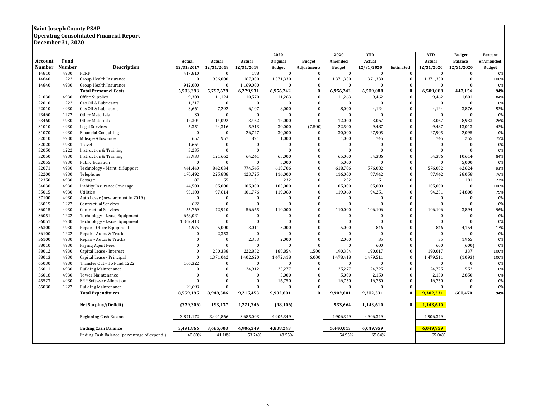### **Saint Joseph County PSAP**

#### **Operating Consolidated Financial Report**

**December 31, 2020**

|               |        | 2020                                        |              | 2020         | <b>YTD</b>     |                | <b>YTD</b>         | <b>Budget</b>  | Percent      |                  |              |                |               |
|---------------|--------|---------------------------------------------|--------------|--------------|----------------|----------------|--------------------|----------------|--------------|------------------|--------------|----------------|---------------|
| Account       | Fund   |                                             | Actual       | Actual       | Actual         | Original       | <b>Budget</b>      | Amended        | Actual       |                  | Actual       | <b>Balance</b> | of Amended    |
| <b>Number</b> | Number | <b>Description</b>                          | 12/31/2017   | 12/31/2018   | 12/31/2019     | <b>Budget</b>  | <b>Adjustments</b> | <b>Budget</b>  | 12/31/2020   | <b>Estimated</b> | 12/31/2020   | 12/31/2020     | <b>Budget</b> |
| 14810         | 4930   | PERF                                        | 417,810      | $\Omega$     | 188            | $\mathbf{0}$   | $\mathbf{0}$       | $\mathbf{0}$   | $\mathbf{0}$ | $\bf{0}$         | $\Omega$     | $\bf{0}$       | 0%            |
| 14840         | 1222   | Group Health Insurance                      | $\bf{0}$     | 936,000      | 167,000        | 1,371,330      | $\mathbf{0}$       | 1,371,330      | 1,371,330    | $\Omega$         | 1,371,330    | $\bf{0}$       | 100%          |
| 14840         | 4930   | Group Health Insurance                      | 912,000      | $\Omega$     | 1,169,000      | $\mathbf{0}$   | $\bf{0}$           | $\overline{0}$ | $\mathbf{0}$ | $\theta$         | $\Omega$     | $\mathbf{0}$   | 0%            |
|               |        | <b>Total Personnel Costs</b>                | 5,503,393    | 5,797,679    | 6,279,931      | 6,956,242      | $\bf{0}$           | 6,956,242      | 6,509,088    | $\bf{0}$         | 6,509,088    | 447,154        | 94%           |
| 21030         | 4930   | Office Supplies                             | 9,308        | 11,124       | 10,570         | 11,263         | $\Omega$           | 11,263         | 9,462        | $\boldsymbol{0}$ | 9,462        | 1,801          | 84%           |
| 22010         | 1222   | Gas Oil & Lubricants                        | 1,217        | $\bf{0}$     | $\bf{0}$       | $\Omega$       | $\Omega$           | $\bf{0}$       | $\mathbf{0}$ | $\theta$         | $\Omega$     | $\mathbf{0}$   | 0%            |
| 22010         | 4930   | Gas Oil & Lubricants                        | 3,661        | 7,292        | 6,107          | 8,000          | $\Omega$           | 8,000          | 4,124        | $\theta$         | 4,124        | 3,876          | 52%           |
| 23460         | 1222   | Other Materials                             | 30           | $\Omega$     | $\overline{0}$ | $\Omega$       | $\Omega$           | $\Omega$       | $\theta$     | $\theta$         | $\Omega$     | $\theta$       | 0%            |
| 23460         | 4930   | Other Materials                             | 12,304       | 14,092       | 3,462          | 12,000         | $\mathbf{0}$       | 12,000         | 3,067        | $\theta$         | 3,067        | 8,933          | 26%           |
| 31010         | 4930   | Legal Services                              | 5,351        | 24,316       | 5,913          | 30,000         | (7,500)            | 22,500         | 9,487        | $\Omega$         | 9,487        | 13,013         | 42%           |
| 31070         | 4930   | <b>Financial Consulting</b>                 | $\bf{0}$     | $\mathbf{0}$ | 26,747         | 30,000         | $\mathbf{0}$       | 30,000         | 27,905       | $\theta$         | 27,905       | 2,095          | 0%            |
| 32010         | 4930   | Mileage Allowance                           | 657          | 957          | 891            | 1,000          | $\Omega$           | 1,000          | 745          | $\Omega$         | 745          | 255            | 75%           |
| 32020         | 4930   | Travel                                      | 1,664        | $\Omega$     | $\overline{0}$ | $\mathbf{0}$   | $\Omega$           | $\overline{0}$ | $\Omega$     | $\Omega$         | $\Omega$     | $\Omega$       | 0%            |
| 32050         | 1222   | <b>Instruction &amp; Training</b>           | 3,235        | $\Omega$     | $\Omega$       | $\Omega$       | $\Omega$           | $\theta$       | $\theta$     | $\Omega$         | $\Omega$     | $\Omega$       | 0%            |
| 32050         | 4930   | <b>Instruction &amp; Training</b>           | 33,933       | 121,662      | 64,241         | 65,000         | $\mathbf{0}$       | 65,000         | 54,386       | $\Omega$         | 54,386       | 10,614         | 84%           |
| 32055         | 4930   | <b>Public Eduation</b>                      | $\mathbf{0}$ | $\Omega$     | $\overline{0}$ | 5,000          | $\Omega$           | 5,000          | $\Omega$     | $\Omega$         | $\theta$     | 5,000          | 0%            |
| 32071         | 4930   | Technology - Maint. & Support               | 441,440      | 842,034      | 774,545        | 618,706        | $\mathbf{0}$       | 618,706        | 576,082      | $\Omega$         | 576,082      | 42,624         | 93%           |
| 32200         | 4930   | Telephone                                   | 170,492      | 225,888      | 123,725        | 116,000        | $\Omega$           | 116,000        | 87,942       | $\mathbf{0}$     | 87,942       | 28,058         | 76%           |
| 32350         | 4930   | Postage                                     | 87           | 55           | 131            | 232            | $\mathbf{0}$       | 232            | 51           | $\Omega$         | 51           | 181            | 22%           |
| 34030         | 4930   | Liabiity Insurance Coverage                 | 44,500       | 105,000      | 105,000        | 105,000        | $\Omega$           | 105,000        | 105,000      | $\mathbf{0}$     | 105,000      | $\theta$       | 100%          |
| 35015         | 4930   | Utilities                                   | 95,108       | 97,614       | 101,776        | 119,060        | $\mathbf{0}$       | 119,060        | 94,251       | $\mathbf{0}$     | 94,251       | 24,808         | 79%           |
| 37100         | 4930   | Auto Lease (new account in 2019)            | $\bf{0}$     | $\bf{0}$     | $\bf{0}$       | $\bf{0}$       | $\Omega$           | $\bf{0}$       | $\mathbf{0}$ | $\bf{0}$         | $\Omega$     | $\Omega$       | 0%            |
| 36015         | 1222   | <b>Contractual Services</b>                 | 622          | $\Omega$     | $\bf{0}$       | $\mathbf{0}$   | $\Omega$           | $\bf{0}$       | $\mathbf{0}$ | $\Omega$         | $\Omega$     | $\mathbf{0}$   | 0%            |
| 36015         | 4930   | <b>Contractual Services</b>                 | 55,769       | 72,940       | 56,665         | 110,000        | $\Omega$           | 110,000        | 106,106      | $\theta$         | 106,106      | 3,894          | 96%           |
| 36051         | 1222   | Technology - Lease Equipment                | 668,021      | $\Omega$     | $\overline{0}$ | $\Omega$       | $\Omega$           | $\bf{0}$       | $\Omega$     | $\Omega$         | $\Omega$     | $\Omega$       | 0%            |
| 36051         | 4930   | Technology - Lease Equipment                | 1,367,413    | $\mathbf{0}$ | $\mathbf{0}$   | $\overline{0}$ | $\Omega$           | $\overline{0}$ | $\mathbf{0}$ | $\Omega$         | $\Omega$     | $\theta$       | 0%            |
| 36300         | 4930   | Repair - Office Equipment                   | 4,975        | 5,000        | 3,011          | 5,000          | $\Omega$           | 5,000          | 846          | $\Omega$         | 846          | 4,154          | 17%           |
| 36100         | 1222   | Repair - Autos & Trucks                     | $\bf{0}$     | 2,353        | $\bf{0}$       | $\bf{0}$       |                    | $\bf{0}$       | $\bf{0}$     | $\Omega$         | $\mathbf{0}$ | $\theta$       | 0%            |
| 36100         | 4930   | Repair - Autos & Trucks                     | $\theta$     | $\Omega$     | 2,353          | 2,000          | $\Omega$           | 2,000          | 35           | $\theta$         | 35           | 1,965          | 0%            |
| 38010         | 4930   | Paying Agent Fees                           | $\Omega$     | $\bf{0}$     | $\overline{0}$ | $\Omega$       | $\Omega$           | $\Omega$       | 600          | $\theta$         | 600          | (600)          | 0%            |
| 38012         | 4930   | Capital Lease - Interest                    | $\Omega$     | 250,338      | 222,852        | 188,854        | 1,500              | 190,354        | 190,017      | $\Omega$         | 190,017      | 337            | 100%          |
| 38013         | 4930   | Capital Lease - Principal                   | $\mathbf{0}$ | 1,371,042    | 1,402,620      | 1,472,418      | 6,000              | 1,478,418      | 1,479,511    | $\Omega$         | 1,479,511    | (1,093)        | 100%          |
| 65030         | 4930   | Transfer Out - To Fund 1222                 | 106,322      | $\Omega$     | $\overline{0}$ | $\Omega$       | $\bf{0}$           | $\mathbf{0}$   | $\mathbf{0}$ | $\theta$         | $\Omega$     | $\bf{0}$       | 0%            |
| 36011         | 4930   | <b>Building Maintenance</b>                 | $\mathbf{0}$ | $\Omega$     | 24,912         | 25,277         | $\Omega$           | 25,277         | 24,725       | $\theta$         | 24,725       | 552            | 0%            |
| 36018         | 4930   | <b>Tower Maintenance</b>                    | $\Omega$     | $\Omega$     | $\Omega$       | 5,000          | $\Omega$           | 5,000          | 2,150        | $\Omega$         | 2,150        | 2,850          | 0%            |
| 45523         | 4930   | <b>ERP Software Allocation</b>              | $\theta$     | $\Omega$     | $\Omega$       | 16,750         | $\Omega$           | 16,750         | 16,750       | $\Omega$         | 16,750       | $\Omega$       | 0%            |
| 65030         | 1222   | <b>Building Maintenance</b>                 | 29,693       | $\Omega$     | $\Omega$       |                | $\Omega$           | $\mathbf{0}$   | $\Omega$     | $\Omega$         | $\Omega$     | $\Omega$       | 0%            |
|               |        | <b>Total Expenditures</b>                   | 8,559,195    | 8,949,386    | 9,215,453      | 9,902,801      | $\bf{0}$           | 9,902,801      | 9,302,331    | $\Omega$         | 9,302,331    | 600,470        | 94%           |
|               |        | Net Surplus/(Deficit)                       | (379, 306)   | 193,137      | 1,221,346      | (98, 106)      |                    | 533,664        | 1,143,610    | $\bf{0}$         | 1,143,610    |                |               |
|               |        | Beginning Cash Balance                      | 3,871,172    | 3,491,866    | 3,685,003      | 4,906,349      |                    | 4,906,349      | 4,906,349    |                  | 4,906,349    |                |               |
|               |        | <b>Ending Cash Balance</b>                  | 3,491,866    | 3,685,003    | 4,906,349      | 4,808,243      |                    | 5,440,013      | 6,049,959    |                  | 6,049,959    |                |               |
|               |        | Ending Cash Balance (percentage of expend.) | 40.80%       | 41.18%       | 53.24%         | 48.55%         |                    | 54.93%         | 65.04%       |                  | 65.04%       |                |               |
|               |        |                                             |              |              |                |                |                    |                |              |                  |              |                |               |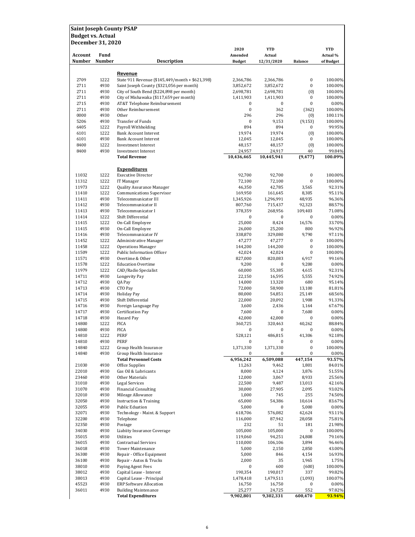| <b>December 31, 2020</b> |                       |                                                             | 2020                     | <b>YTD</b>              |                   | <b>YTD</b>            |
|--------------------------|-----------------------|-------------------------------------------------------------|--------------------------|-------------------------|-------------------|-----------------------|
| <b>Account</b><br>Number | Fund<br><b>Number</b> | <b>Description</b>                                          | Amended<br><b>Budget</b> | Actual<br>12/31/2020    | <b>Balance</b>    | Actual %<br>of Budget |
|                          |                       |                                                             |                          |                         |                   |                       |
| 2709                     | 1222                  | Revenue<br>State 911 Revenue (\$145,449/month + \$621,398)  | 2,366,786                | 2,366,786               | 0                 | 100.00%               |
| 2711                     | 4930                  | Saint Joseph County (\$321,056 per month)                   | 3,852,672                | 3,852,672               | 0                 | 100.00%               |
| 2711                     | 4930                  | City of South Bend (\$224,898 per month)                    | 2,698,781                | 2,698,781               | (0)               | 100.00%               |
| 2711                     | 4930                  | City of Mishawaka (\$117,659 per month)                     | 1,411,903                | 1,411,903               | 0                 | 100.00%               |
| 2715                     | 4930                  | AT&T Telephone Reimbursement                                | 0                        | 0                       | 0                 | 0.00%                 |
| 2711<br>0000             | 4930<br>4930          | Other Reimbursement<br>Other                                | $\pmb{0}$<br>296         | 362<br>296              | (362)<br>(0)      | 100.00%<br>100.11%    |
| 5206                     | 4930                  | <b>Transfer of Funds</b>                                    | $\pmb{0}$                | 9,153                   | (9, 153)          | 100.00%               |
| 6405                     | 1222                  | Payroll Withholding                                         | 894                      | 894                     | 0                 | 99.95%                |
| 6101                     | 1222                  | <b>Bank Account Interest</b>                                | 19,974                   | 19,974                  | (0)               | 100.00%               |
| 6101                     | 4930                  | <b>Bank Account Interest</b>                                | 12,045                   | 12,045                  | 0                 | 100.00%               |
| 8400<br>8400             | 1222<br>4930          | <b>Investment Interest</b><br><b>Investment Interest</b>    | 48,157<br>24,957         | 48,157<br>24,917        | (0)<br>40         | 100.00%<br>99.84%     |
|                          |                       | <b>Total Revenue</b>                                        | 10,436,465               | 10,445,941              | (9, 477)          | 100.09%               |
|                          |                       | <b>Expenditures</b>                                         |                          |                         |                   |                       |
| 11032                    | 1222                  | <b>Executive Director</b>                                   | 92,700                   | 92,700                  | 0                 | 100.00%               |
| 11312                    | 1222                  | IT Manager                                                  | 72,100                   | 72,100                  | 0                 | 100.00%               |
| 11973                    | 1222                  | Quality Assurance Manager                                   | 46,350                   | 42,785                  | 3,565             | 92.31%                |
| 11410                    | 1222                  | Communications Supervisor                                   | 169,950                  | 161,645                 | 8,305             | 95.11%                |
| 11411                    | 4930                  | Telecommunicator III                                        | 1,345,926                | 1,296,991               | 48,935            | 96.36%                |
| 11412<br>11413           | 4930<br>4930          | Telecommunicator II<br>Telecommunicator I                   | 807,760<br>378,359       | 715,437<br>268,956      | 92,323<br>109,403 | 88.57%<br>71.08%      |
| 11414                    | 1222                  | Shift Differential                                          | 0                        | 0                       | 0                 | 0.00%                 |
| 11415                    | 1222                  | On-Call Employee                                            | 25,000                   | 8,424                   | 16,576            | 33.70%                |
| 11415                    | 4930                  | On-Call Employee                                            | 26,000                   | 25,200                  | 800               | 96.92%                |
| 11416                    | 4930                  | Telecommunicator IV                                         | 338,870                  | 329,080                 | 9,790             | 97.11%                |
| 11452                    | 1222                  | Administrative Manager                                      | 47,277                   | 47,277                  | 0<br>$\bf{0}$     | 100.00%               |
| 11458<br>11509           | 1222<br>1222          | <b>Operations Manager</b><br>Public Information Officer     | 144,200<br>42,024        | 144,200<br>42,024       | $\bf{0}$          | 100.00%<br>100.00%    |
| 11571                    | 4930                  | Overtime & Other                                            | 827,000                  | 820,083                 | 6,917             | 99.16%                |
| 11578                    | 1222                  | <b>Education Overtime</b>                                   | 9,200                    | 0                       | 9,200             | 0.00%                 |
| 11979                    | 1222                  | CAD/Radio Specialist                                        | 60,000                   | 55,385                  | 4,615             | 92.31%                |
| 14711                    | 4930                  | Longevity Pay                                               | 22,150                   | 16,595                  | 5,555             | 74.92%                |
| 14712<br>14713           | 4930<br>4930          | QA Pay<br>CTO Pay                                           | 14,000<br>72,000         | 13,320<br>58,900        | 680<br>13,100     | 95.14%<br>81.81%      |
| 14714                    | 4930                  | <b>Holiday Pay</b>                                          | 80,000                   | 54,851                  | 25,149            | 68.56%                |
| 14715                    | 4930                  | Shift Differential                                          | 22,000                   | 20,092                  | 1,908             | 91.33%                |
| 14716                    | 4930                  | Foreign Language Pay                                        | 3,600                    | 2,436                   | 1,164             | 67.67%                |
| 14717                    | 4930                  | Certification Pay                                           | 7,600                    | 0                       | 7,600             | 0.00%                 |
| 14718                    | 4930                  | Hazard Pay                                                  | 42,000                   | 42,000                  | 0                 | 0.00%                 |
| 14800<br>14800           | 1222<br>4930          | <b>FICA</b><br><b>FICA</b>                                  | 360,725<br>0             | 320,463<br>$\mathbf{0}$ | 40,262            | 88.84%<br>0.00%       |
| 14810                    | 1222                  | PERF                                                        | 528,121                  | 486,815                 | 41,306            | 92.18%                |
| 14810                    | 4930                  | PERF                                                        | 0                        | 0                       | 0                 | 0.00%                 |
| 14840                    | 1222                  | Group Health Insurance                                      | 1,371,330                | 1,371,330               | 0                 | 100.00%               |
| 14840                    | 4930                  | Group Health Insurance                                      | 0                        | 0                       | 0                 | 0.00%                 |
| 21030                    | 4930                  | <b>Total Personnel Costs</b><br>Office Supplies             | 6,956,242<br>11,263      | 6,509,088<br>9,462      | 447,154<br>1,801  | 93.57%<br>84.01%      |
| 22010                    | 4930                  | Gas Oil & Lubricants                                        | 8,000                    | 4,124                   | 3,876             | 51.55%                |
| 23460                    | 4930                  | Other Materials                                             | 12,000                   | 3,067                   | 8,933             | 25.56%                |
| 31010                    | 4930                  | Legal Services                                              | 22,500                   | 9,487                   | 13,013            | 42.16%                |
| 31070                    | 4930                  | <b>Financial Consulting</b>                                 | 30,000                   | 27,905                  | 2,095             | 93.02%                |
| 32010                    | 4930                  | Mileage Allowance                                           | 1,000                    | 745                     | 255               | 74.50%<br>83.67%      |
| 32050<br>32055           | 4930<br>4930          | <b>Instruction &amp; Training</b><br><b>Public Eduation</b> | 65,000<br>5,000          | 54,386<br>0             | 10,614<br>5,000   | 0.00%                 |
| 32071                    | 4930                  | Technology - Maint. & Support                               | 618,706                  | 576,082                 | 42,624            | 93.11%                |
| 32200                    | 4930                  | Telephone                                                   | 116,000                  | 87,942                  | 28,058            | 75.81%                |
| 32350                    | 4930                  | Postage                                                     | 232                      | 51                      | 181               | 21.98%                |
| 34030                    | 4930                  | Liabiity Insurance Coverage                                 | 105,000                  | 105,000                 | 0                 | 100.00%               |
| 35015                    | 4930                  | Utilities                                                   | 119,060                  | 94,251                  | 24,808            | 79.16%                |
| 36015<br>36018           | 4930<br>4930          | <b>Contractual Services</b><br><b>Tower Maintenance</b>     | 110,000<br>5,000         | 106,106<br>2,150        | 3,894<br>2,850    | 96.46%<br>43.00%      |
| 36300                    | 4930                  | Repair - Office Equipment                                   | 5,000                    | 846                     | 4,154             | 16.93%                |
| 36100                    | 4930                  | Repair - Autos & Trucks                                     | 2,000                    | 35                      | 1,965             | 1.75%                 |
| 38010                    | 4930                  | Paying Agent Fees                                           | 0                        | 600                     | (600)             | 100.00%               |
| 38012                    | 4930                  | Capital Lease - Interest                                    | 190,354                  | 190,017                 | 337               | 99.82%                |
| 38013<br>45523           | 4930<br>4930          | Capital Lease - Principal<br><b>ERP Software Allocation</b> | 1,478,418<br>16,750      | 1,479,511<br>16,750     | (1,093)<br>0      | 100.07%<br>0.00%      |
| 36011                    | 4930                  | <b>Building Maintenance</b>                                 | 25,277                   | 24,725                  | 552               | 97.82%                |
|                          |                       | <b>Total Expenditures</b>                                   | 9,902,801                | 9,302,331               | 600,470           | 93.94%                |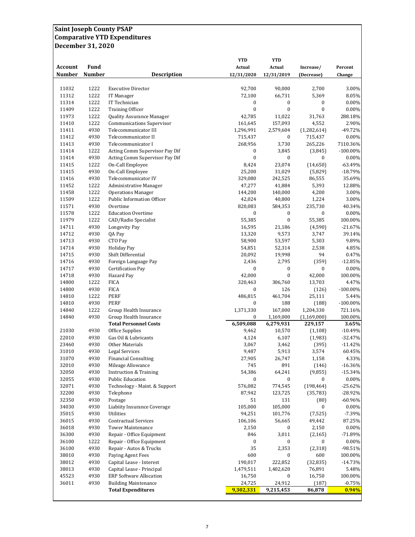### **Saint Joseph County PSAP Comparative YTD Expenditures December 31, 2020**

| <b>Account</b><br><b>Number</b> | <b>Fund</b><br><b>Number</b> | <b>Description</b>                                               | <b>YTD</b><br>Actual<br>12/31/2020 | <b>YTD</b><br>Actual<br>12/31/2019 | Increase/<br>(Decrease)  | Percent<br>Change    |
|---------------------------------|------------------------------|------------------------------------------------------------------|------------------------------------|------------------------------------|--------------------------|----------------------|
|                                 |                              |                                                                  |                                    |                                    |                          |                      |
| 11032                           | 1222                         | <b>Executive Director</b>                                        | 92,700                             | 90,000                             | 2,700                    | 3.00%                |
| 11312                           | 1222                         | IT Manager                                                       | 72,100                             | 66,731                             | 5,369                    | 8.05%                |
| 11314                           | 1222                         | IT Technician                                                    | 0                                  | 0                                  | 0                        | 0.00%                |
| 11409                           | 1222                         | <b>Training Officer</b>                                          | $\bf{0}$                           | $\bf{0}$                           | $\bf{0}$                 | 0.00%                |
| 11973                           | 1222                         | Quality Assurance Manager                                        | 42,785                             | 11,022                             | 31,763                   | 288.18%              |
| 11410                           | 1222                         | <b>Communications Supervisor</b>                                 | 161,645                            | 157,093                            | 4,552                    | 2.90%                |
| 11411                           | 4930                         | Telecommunicator III                                             | 1,296,991                          | 2,579,604                          | (1,282,614)              | -49.72%              |
| 11412                           | 4930                         | Telecommunicator II                                              | 715,437                            | $\mathbf{0}$                       | 715,437                  | 0.00%                |
| 11413                           | 4930                         | Telecommunicator I                                               | 268,956                            | 3,730                              | 265,226                  | 7110.36%             |
| 11414<br>11414                  | 1222<br>4930                 | Acting Comm Supervisor Pay Dif<br>Acting Comm Supervisor Pay Dif | 0<br>$\mathbf{0}$                  | 3,845<br>$\mathbf{0}$              | (3,845)<br>$\mathbf{0}$  | $-100.00\%$<br>0.00% |
| 11415                           | 1222                         | On-Call Employee                                                 | 8,424                              | 23,074                             | (14, 650)                | $-63.49%$            |
| 11415                           | 4930                         | On-Call Employee                                                 | 25,200                             | 31,029                             | (5,829)                  | $-18.79%$            |
| 11416                           | 4930                         | Telecommunicator IV                                              | 329,080                            | 242,525                            | 86,555                   | 35.69%               |
| 11452                           | 1222                         | <b>Administrative Manager</b>                                    | 47,277                             | 41,884                             | 5,393                    | 12.88%               |
| 11458                           | 1222                         | <b>Operations Manager</b>                                        | 144,200                            | 140,000                            | 4,200                    | 3.00%                |
| 11509                           | 1222                         | <b>Public Information Officer</b>                                | 42,024                             | 40,800                             | 1,224                    | 3.00%                |
| 11571                           | 4930                         | Overtime                                                         | 820,083                            | 584,353                            | 235,730                  | 40.34%               |
| 11578                           | 1222                         | <b>Education Overtime</b>                                        | $\boldsymbol{0}$                   | 0                                  | $\boldsymbol{0}$         | 0.00%                |
| 11979                           | 1222                         | CAD/Radio Specialist                                             | 55,385                             | $\mathbf{0}$                       | 55,385                   | 100.00%              |
| 14711                           | 4930                         | <b>Longevity Pay</b>                                             | 16,595                             | 21,186                             | (4,590)                  | $-21.67%$            |
| 14712                           | 4930                         | QA Pay                                                           | 13,320                             | 9,573                              | 3,747                    | 39.14%               |
| 14713                           | 4930                         | CTO Pay                                                          | 58,900                             | 53,597                             | 5,303                    | 9.89%                |
| 14714                           | 4930                         | <b>Holiday Pay</b>                                               | 54,851                             | 52,314                             | 2,538                    | 4.85%                |
| 14715                           | 4930                         | Shift Differential                                               | 20,092                             | 19,998                             | 94                       | 0.47%                |
| 14716                           | 4930                         | Foreign Language Pay                                             | 2,436                              | 2,795                              | (359)                    | $-12.85%$            |
| 14717                           | 4930                         | Certification Pay                                                | 0                                  | 0                                  | 0                        | 0.00%                |
| 14718                           | 4930                         | Hazard Pay                                                       | 42,000                             | $\mathbf{0}$                       | 42,000                   | 100.00%              |
| 14800                           | 1222                         | <b>FICA</b>                                                      | 320,463                            | 306,760                            | 13,703                   | 4.47%                |
| 14800                           | 4930                         | <b>FICA</b>                                                      | 0                                  | 126                                | (126)                    | $-100.00\%$          |
| 14810                           | 1222                         | <b>PERF</b>                                                      | 486,815                            | 461,704                            | 25,111                   | 5.44%                |
| 14810                           | 4930                         | <b>PERF</b>                                                      | 0                                  | 188                                | (188)                    | $-100.00\%$          |
| 14840                           | 1222                         | Group Health Insurance                                           | 1,371,330                          | 167,000                            | 1,204,330                | 721.16%              |
| 14840                           | 4930                         | Group Health Insurance<br><b>Total Personnel Costs</b>           | 0<br>6,509,088                     | 1,169,000                          | (1, 169, 000)<br>229,157 | 100.00%<br>3.65%     |
| 21030                           | 4930                         | Office Supplies                                                  | 9,462                              | 6,279,931<br>10,570                | (1, 108)                 | $-10.49%$            |
| 22010                           | 4930                         | Gas Oil & Lubricants                                             | 4,124                              | 6,107                              | (1,983)                  | $-32.47%$            |
| 23460                           | 4930                         | Other Materials                                                  | 3,067                              | 3,462                              | (395)                    | $-11.42%$            |
| 31010                           | 4930                         | <b>Legal Services</b>                                            | 9,487                              | 5,913                              | 3,574                    | 60.45%               |
| 31070                           | 4930                         | <b>Financial Consulting</b>                                      | 27,905                             | 26,747                             | 1,158                    | 4.33%                |
| 32010                           | 4930                         | Mileage Allowance                                                | 745                                | 891                                | (146)                    | $-16.36%$            |
| 32050                           | 4930                         | <b>Instruction &amp; Training</b>                                | 54,386                             | 64,241                             | (9, 855)                 | $-15.34%$            |
| 32055                           | 4930                         | <b>Public Education</b>                                          | 0                                  | 0                                  | 0                        | 0.00%                |
| 32071                           | 4930                         | Technology - Maint. & Support                                    | 576,082                            | 774,545                            | (198, 464)               | $-25.62%$            |
| 32200                           | 4930                         | Telephone                                                        | 87,942                             | 123,725                            | (35, 783)                | $-28.92%$            |
| 32350                           | 4930                         | Postage                                                          | 51                                 | 131                                | (80)                     | $-60.96%$            |
| 34030                           | 4930                         | Liabiity Insurance Coverage                                      | 105,000                            | 105,000                            | $\mathbf{0}$             | 0.00%                |
| 35015                           | 4930                         | Utilities                                                        | 94,251                             | 101,776                            | (7, 525)                 | $-7.39%$             |
| 36015                           | 4930                         | <b>Contractual Services</b>                                      | 106,106                            | 56,665                             | 49,442                   | 87.25%               |
| 36018                           | 4930                         | <b>Tower Maintenance</b>                                         | 2,150                              | 0                                  | 2,150                    | 0.00%                |
| 36300                           | 4930                         | Repair - Office Equipment                                        | 846                                | 3,011                              | (2, 165)                 | $-71.89%$            |
| 36100                           | 1222                         | Repair - Office Equipment                                        | 0                                  | 0                                  | 0                        | $0.00\%$             |
| 36100                           | 4930                         | Repair - Autos & Trucks                                          | 35                                 | 2,353                              | (2, 318)                 | $-98.51%$            |
| 38010                           | 4930                         | Paying Agent Fees                                                | 600                                | 0                                  | 600                      | 100.00%              |
| 38012                           | 4930                         | Capital Lease - Interest                                         | 190,017                            | 222,852                            | (32, 835)                | $-14.73%$            |
| 38013                           | 4930<br>4930                 | Capital Lease - Principal<br><b>ERP Software Allocation</b>      | 1,479,511                          | 1,402,620                          | 76,891                   | 5.48%                |
| 45523<br>36011                  | 4930                         | <b>Building Maintenance</b>                                      | 16,750<br>24,725                   | 0<br>24,912                        | 16,750<br>(187)          | 100.00%<br>$-0.75%$  |
|                                 |                              | <b>Total Expenditures</b>                                        | 9,302,331                          | 9,215,453                          | 86,878                   | 0.94%                |
|                                 |                              |                                                                  |                                    |                                    |                          |                      |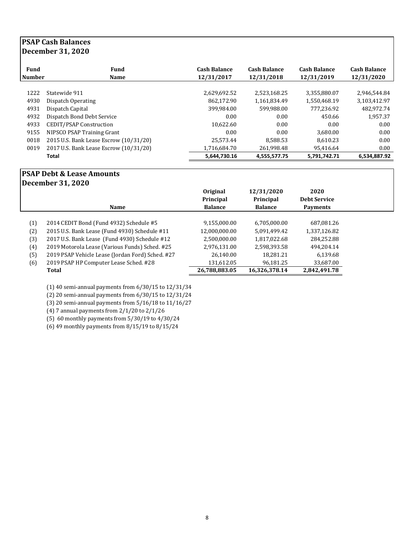### **PSAP Cash Balances December 31, 2020**

| <b>Fund</b><br><b>Number</b> | Fund<br><b>Name</b>                    | <b>Cash Balance</b><br>12/31/2017 | <b>Cash Balance</b><br>12/31/2018 | <b>Cash Balance</b><br>12/31/2019 | <b>Cash Balance</b><br>12/31/2020 |
|------------------------------|----------------------------------------|-----------------------------------|-----------------------------------|-----------------------------------|-----------------------------------|
|                              |                                        |                                   |                                   |                                   |                                   |
| 1222                         | Statewide 911                          | 2,629,692.52                      | 2,523,168.25                      | 3,355,880.07                      | 2,946,544.84                      |
| 4930                         | Dispatch Operating                     | 862.172.90                        | 1.161.834.49                      | 1,550,468.19                      | 3.103.412.97                      |
| 4931                         | Dispatch Capital                       | 399.984.00                        | 599,988.00                        | 777.236.92                        | 482.972.74                        |
| 4932                         | Dispatch Bond Debt Service             | 0.00                              | 0.00                              | 450.66                            | 1,957.37                          |
| 4933                         | CEDIT/PSAP Construction                | 10,622.60                         | 0.00                              | 0.00                              | 0.00                              |
| 9155                         | NIPSCO PSAP Training Grant             | 0.00                              | 0.00                              | 3.680.00                          | 0.00                              |
| 0018                         | 2015 U.S. Bank Lease Escrow (10/31/20) | 25.573.44                         | 8.588.53                          | 8.610.23                          | 0.00                              |
| 0019                         | 2017 U.S. Bank Lease Escrow (10/31/20) | 1,716,684.70                      | 261.998.48                        | 95.416.64                         | 0.00                              |
|                              | <b>Total</b>                           | 5,644,730.16                      | 4,555,577.75                      | 5,791,742.71                      | 6,534,887.92                      |

## **PSAP Debt & Lease Amounts**

**December 31, 2020**

|     |                                                  | Original<br>Principal | 12/31/2020<br>Principal | 2020<br><b>Debt Service</b> |  |
|-----|--------------------------------------------------|-----------------------|-------------------------|-----------------------------|--|
|     | <b>Name</b>                                      | <b>Balance</b>        | <b>Balance</b>          | <b>Payments</b>             |  |
| (1) | 2014 CEDIT Bond (Fund 4932) Schedule #5          | 9,155,000.00          | 6,705,000.00            | 687,081.26                  |  |
| (2) | 2015 U.S. Bank Lease (Fund 4930) Schedule #11    | 12,000,000.00         | 5,091,499.42            | 1,337,126.82                |  |
| (3) | 2017 U.S. Bank Lease (Fund 4930) Schedule #12    | 2,500,000.00          | 1,817,022.68            | 284.252.88                  |  |
| (4) | 2019 Motorola Lease (Various Funds) Sched. #25   | 2,976,131.00          | 2,598,393.58            | 494.204.14                  |  |
| (5) | 2019 PSAP Vehicle Lease (Jordan Ford) Sched. #27 | 26,140.00             | 18,281.21               | 6,139.68                    |  |
| (6) | 2019 PSAP HP Computer Lease Sched. #28           | 131,612.05            | 96,181.25               | 33,687.00                   |  |
|     | Total                                            | 26,788,883.05         | 16,326,378.14           | 2,842,491.78                |  |

(1) 40 semi-annual payments from 6/30/15 to 12/31/34

(2) 20 semi-annual payments from 6/30/15 to 12/31/24

(3) 20 semi-annual payments from 5/16/18 to 11/16/27

(4) 7 annual payments from 2/1/20 to 2/1/26

(5) 60 monthly payments from 5/30/19 to 4/30/24

(6) 49 monthly payments from 8/15/19 to 8/15/24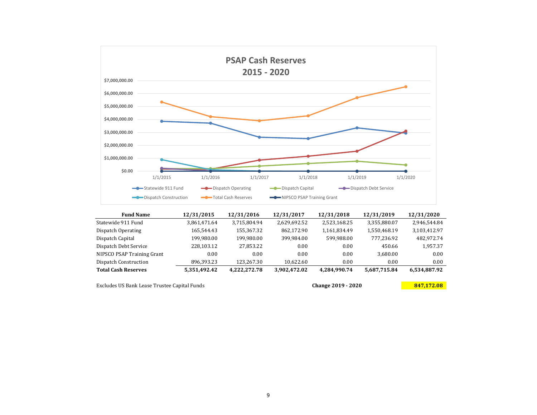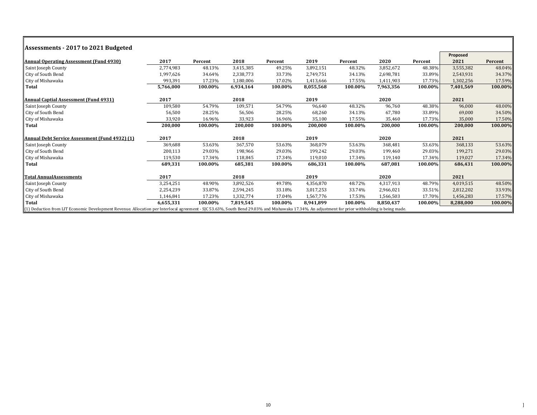| Assessments - 2017 to 2021 Budgeted                                                                                                                                                                    |           |         |           |         |           |         |           |         |           |         |
|--------------------------------------------------------------------------------------------------------------------------------------------------------------------------------------------------------|-----------|---------|-----------|---------|-----------|---------|-----------|---------|-----------|---------|
|                                                                                                                                                                                                        |           |         |           |         |           |         |           |         | Proposed  |         |
| Annual Operating Assessment (Fund 4930)                                                                                                                                                                | 2017      | Percent | 2018      | Percent | 2019      | Percent | 2020      | Percent | 2021      | Percent |
| Saint Joseph County                                                                                                                                                                                    | 2,774,983 | 48.13%  | 3,415,385 | 49.25%  | 3,892,151 | 48.32%  | 3,852,672 | 48.38%  | 3,555,382 | 48.04%  |
| City of South Bend                                                                                                                                                                                     | 1,997,626 | 34.64%  | 2,338,773 | 33.73%  | 2,749,751 | 34.13%  | 2,698,781 | 33.89%  | 2,543,931 | 34.37%  |
| City of Mishawaka                                                                                                                                                                                      | 993,391   | 17.23%  | 1,180,006 | 17.02%  | 1,413,666 | 17.55%  | 1,411,903 | 17.73%  | 1,302,256 | 17.59%  |
| <b>Total</b>                                                                                                                                                                                           | 5,766,000 | 100.00% | 6,934,164 | 100.00% | 8,055,568 | 100.00% | 7,963,356 | 100.00% | 7,401,569 | 100.00% |
| <b>Annual Captial Assessment (Fund 4931)</b>                                                                                                                                                           | 2017      |         | 2018      |         | 2019      |         | 2020      |         | 2021      |         |
| Saint Joseph County                                                                                                                                                                                    | 109,580   | 54.79%  | 109,571   | 54.79%  | 96,640    | 48.32%  | 96,760    | 48.38%  | 96,000    | 48.00%  |
| City of South Bend                                                                                                                                                                                     | 56,500    | 28.25%  | 56,506    | 28.25%  | 68,260    | 34.13%  | 67,780    | 33.89%  | 69,000    | 34.50%  |
| City of Mishawaka                                                                                                                                                                                      | 33,920    | 16.96%  | 33,923    | 16.96%  | 35,100    | 17.55%  | 35,460    | 17.73%  | 35,000    | 17.50%  |
| <b>Total</b>                                                                                                                                                                                           | 200,000   | 100.00% | 200,000   | 100.00% | 200,000   | 100.00% | 200,000   | 100.00% | 200,000   | 100.00% |
| Annual Debt Service Assessment (Fund 4932) (1)                                                                                                                                                         | 2017      |         | 2018      |         | 2019      |         | 2020      |         | 2021      |         |
| Saint Joseph County                                                                                                                                                                                    | 369,688   | 53.63%  | 367,570   | 53.63%  | 368,079   | 53.63%  | 368,481   | 53.63%  | 368,133   | 53.63%  |
| City of South Bend                                                                                                                                                                                     | 200,113   | 29.03%  | 198,966   | 29.03%  | 199,242   | 29.03%  | 199,460   | 29.03%  | 199,271   | 29.03%  |
| City of Mishawaka                                                                                                                                                                                      | 119,530   | 17.34%  | 118,845   | 17.34%  | 119,010   | 17.34%  | 119,140   | 17.34%  | 119,027   | 17.34%  |
| <b>Total</b>                                                                                                                                                                                           | 689,331   | 100.00% | 685,381   | 100.00% | 686,331   | 100.00% | 687,081   | 100.00% | 686,431   | 100.00% |
| <b>Total AnnualAssessments</b>                                                                                                                                                                         | 2017      |         | 2018      |         | 2019      |         | 2020      |         | 2021      |         |
| Saint Joseph County                                                                                                                                                                                    | 3,254,251 | 48.90%  | 3,892,526 | 49.78%  | 4,356,870 | 48.72%  | 4,317,913 | 48.79%  | 4,019,515 | 48.50%  |
| City of South Bend                                                                                                                                                                                     | 2,254,239 | 33.87%  | 2,594,245 | 33.18%  | 3,017,253 | 33.74%  | 2,966,021 | 33.51%  | 2,812,202 | 33.93%  |
| City of Mishawaka                                                                                                                                                                                      | 1,146,841 | 17.23%  | 1,332,774 | 17.04%  | 1,567,776 | 17.53%  | 1,566,503 | 17.70%  | 1,456,283 | 17.57%  |
| Total                                                                                                                                                                                                  | 6,655,331 | 100.00% | 7,819,545 | 100.00% | 8,941,899 | 100.00% | 8,850,437 | 100.00% | 8,288,000 | 100.00% |
| $\ $ (1) Deduction from LIT Economic Development Revenue. Allocation per Interlocal agreement - SJC 53.63%, South Bend 29.03% and Mishawaka 17.34%. An adjustment for prior withholding is being made. |           |         |           |         |           |         |           |         |           |         |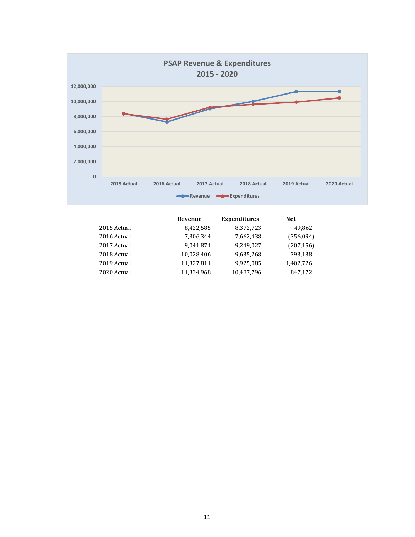

|             | Revenue    | <b>Expenditures</b> | <b>Net</b> |
|-------------|------------|---------------------|------------|
| 2015 Actual | 8,422,585  | 8,372,723           | 49,862     |
| 2016 Actual | 7,306,344  | 7,662,438           | (356,094)  |
| 2017 Actual | 9,041,871  | 9,249,027           | (207, 156) |
| 2018 Actual | 10,028,406 | 9,635,268           | 393,138    |
| 2019 Actual | 11,327,811 | 9,925,085           | 1,402,726  |
| 2020 Actual | 11,334,968 | 10,487,796          | 847,172    |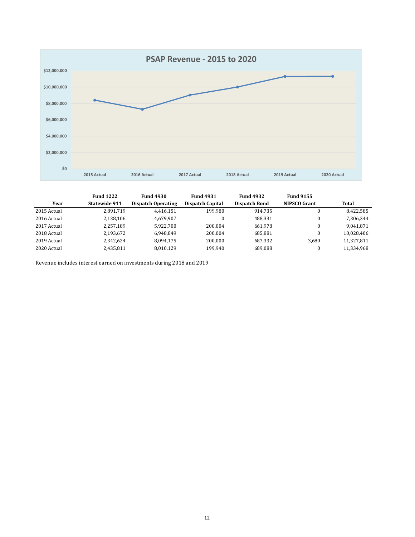

|             | <b>Fund 1222</b> | <b>Fund 4930</b>          | <b>Fund 4931</b> | <b>Fund 4932</b> | <b>Fund 9155</b>    |            |
|-------------|------------------|---------------------------|------------------|------------------|---------------------|------------|
| Year        | Statewide 911    | <b>Dispatch Operating</b> | Dispatch Capital | Dispatch Bond    | <b>NIPSCO Grant</b> | Total      |
| 2015 Actual | 2,891,719        | 4,416,151                 | 199,980          | 914.735          |                     | 8,422,585  |
| 2016 Actual | 2.138.106        | 4.679.907                 | $\theta$         | 488.331          |                     | 7,306,344  |
| 2017 Actual | 2,257,189        | 5,922,700                 | 200.004          | 661,978          |                     | 9,041,871  |
| 2018 Actual | 2,193,672        | 6.948.849                 | 200,004          | 685.881          |                     | 10,028,406 |
| 2019 Actual | 2.342.624        | 8.094.175                 | 200,000          | 687.332          | 3,680               | 11,327,811 |
| 2020 Actual | 2,435,811        | 8,010,129                 | 199,940          | 689,088          |                     | 11,334,968 |

Revenue includes interest earned on investments during 2018 and 2019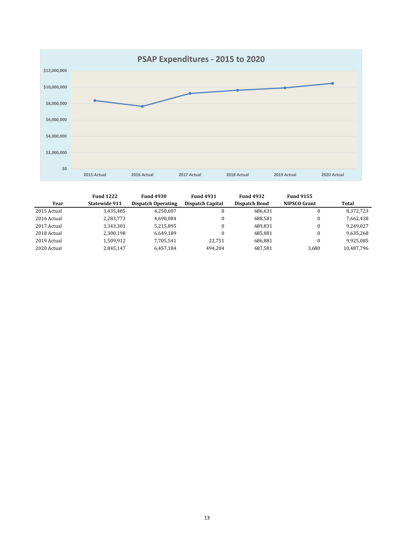

|             | <b>Fund 1222</b> | <b>Fund 4930</b>   | <b>Fund 4931</b>        | <b>Fund 4932</b>     | <b>Fund 9155</b>    |            |
|-------------|------------------|--------------------|-------------------------|----------------------|---------------------|------------|
| Year        | Statewide 911    | Dispatch Operating | <b>Dispatch Capital</b> | <b>Dispatch Bond</b> | <b>NIPSCO Grant</b> | Total      |
| 2015 Actual | 3,435,485        | 4,250,607          | $\Omega$                | 686.631              |                     | 8,372,723  |
| 2016 Actual | 2,283,773        | 4,690,084          | $\Omega$                | 688.581              |                     | 7,662,438  |
| 2017 Actual | 3,343,301        | 5,215,895          | $\Omega$                | 689.831              |                     | 9,249,027  |
| 2018 Actual | 2.300.198        | 6.649.189          | $\Omega$                | 685.881              |                     | 9,635,268  |
| 2019 Actual | 1.509.912        | 7.705.541          | 22.751                  | 686.881              |                     | 9,925,085  |
| 2020 Actual | 2,845,147        | 6.457.184          | 494.204                 | 687.581              | 3,680               | 10,487,796 |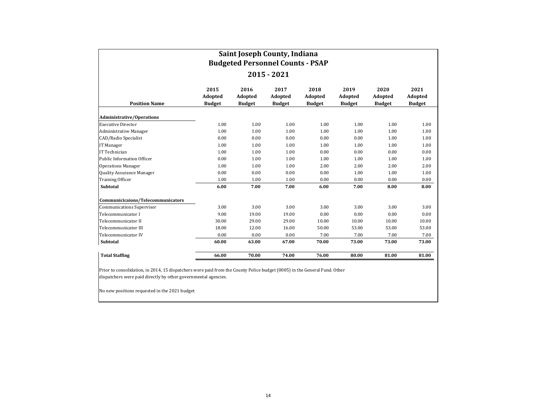|                                   |                                  | Saint Joseph County, Indiana<br><b>Budgeted Personnel Counts - PSAP</b> |                                  |                                  |                                  |                                  |                                  |
|-----------------------------------|----------------------------------|-------------------------------------------------------------------------|----------------------------------|----------------------------------|----------------------------------|----------------------------------|----------------------------------|
|                                   |                                  |                                                                         | 2015 - 2021                      |                                  |                                  |                                  |                                  |
| <b>Position Name</b>              | 2015<br>Adopted<br><b>Budget</b> | 2016<br>Adopted<br><b>Budget</b>                                        | 2017<br>Adopted<br><b>Budget</b> | 2018<br>Adopted<br><b>Budget</b> | 2019<br>Adopted<br><b>Budget</b> | 2020<br>Adopted<br><b>Budget</b> | 2021<br>Adopted<br><b>Budget</b> |
| <b>Administrative/Operations</b>  |                                  |                                                                         |                                  |                                  |                                  |                                  |                                  |
| <b>Executive Director</b>         | 1.00                             | 1.00                                                                    | 1.00                             | 1.00                             | 1.00                             | 1.00                             | 1.00                             |
| <b>Administrative Manager</b>     | 1.00                             | 1.00                                                                    | 1.00                             | 1.00                             | 1.00                             | 1.00                             | 1.00                             |
| CAD/Radio Specialist              | 0.00                             | 0.00                                                                    | 0.00                             | 0.00                             | 0.00                             | 1.00                             | 1.00                             |
| IT Manager                        | 1.00                             | 1.00                                                                    | 1.00                             | 1.00                             | 1.00                             | 1.00                             | 1.00                             |
| IT Technician                     | 1.00                             | 1.00                                                                    | 1.00                             | 0.00                             | 0.00                             | 0.00                             | 0.00                             |
| <b>Public Information Officer</b> | 0.00                             | 1.00                                                                    | 1.00                             | 1.00                             | 1.00                             | 1.00                             | 1.00                             |
| <b>Operations Manager</b>         | 1.00                             | 1.00                                                                    | 1.00                             | 2.00                             | 2.00                             | 2.00                             | 2.00                             |
| <b>Quality Assurance Manager</b>  | 0.00                             | 0.00                                                                    | 0.00                             | 0.00                             | 1.00                             | 1.00                             | 1.00                             |
| <b>Training Officer</b>           | 1.00                             | 1.00                                                                    | 1.00                             | 0.00                             | 0.00                             | 0.00                             | 0.00                             |
| Subtotal                          | 6.00                             | 7.00                                                                    | 7.00                             | 6.00                             | 7.00                             | 8.00                             | 8.00                             |
| Communicicaions/Telecommunicators |                                  |                                                                         |                                  |                                  |                                  |                                  |                                  |
| <b>Communications Supervisor</b>  | 3.00                             | 3.00                                                                    | 3.00                             | 3.00                             | 3.00                             | 3.00                             | 3.00                             |
| Telecommunicator I                | 9.00                             | 19.00                                                                   | 19.00                            | 0.00                             | 0.00                             | 0.00                             | 0.00                             |
| Telecommunicator II               | 30.00                            | 29.00                                                                   | 29.00                            | 10.00                            | 10.00                            | 10.00                            | 10.00                            |
| Telecommunicator III              | 18.00                            | 12.00                                                                   | 16.00                            | 50.00                            | 53.00                            | 53.00                            | 53.00                            |
| Telecommunicator IV               | 0.00                             | 0.00                                                                    | 0.00                             | 7.00                             | 7.00                             | 7.00                             | 7.00                             |
| Subtotal                          | 60.00                            | 63.00                                                                   | 67.00                            | 70.00                            | 73.00                            | 73.00                            | 73.00                            |
| <b>Total Staffing</b>             | 66.00                            | 70.00                                                                   | 74.00                            | 76.00                            | 80.00                            | 81.00                            | 81.00                            |

Prior to consolidation, in 2014, 15 dispatchers were paid from the County Police budget (0005) in the General Fund. Other dispatchers were paid directly by other governmental agencies.

No new positions requested in the 2021 budget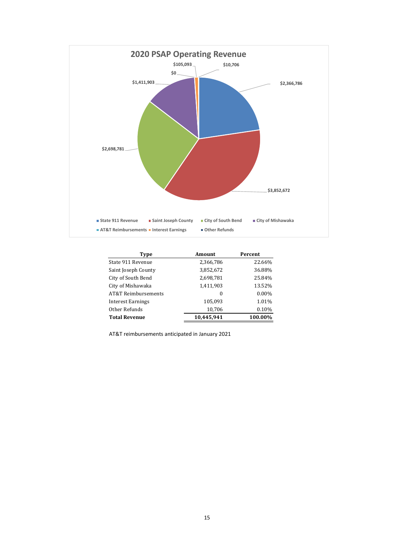

| Type                 | <b>Amount</b> | Percent |
|----------------------|---------------|---------|
| State 911 Revenue    | 2,366,786     | 22.66%  |
| Saint Joseph County  | 3,852,672     | 36.88%  |
| City of South Bend   | 2,698,781     | 25.84%  |
| City of Mishawaka    | 1,411,903     | 13.52%  |
| AT&T Reimbursements  | 0             | 0.00%   |
| Interest Earnings    | 105,093       | 1.01%   |
| Other Refunds        | 10,706        | 0.10%   |
| <b>Total Revenue</b> | 10.445.941    | 100.00% |

AT&T reimbursements anticipated in January 2021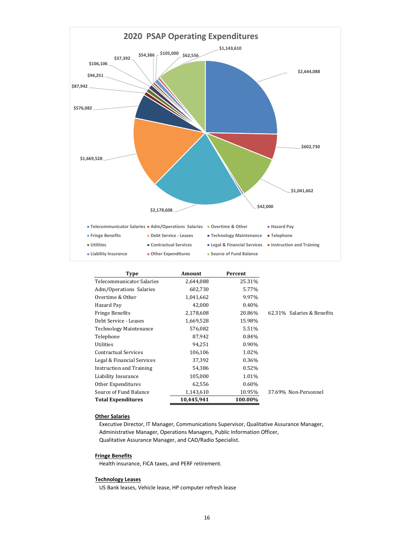

| Type                            | Amount     | Percent  |                            |
|---------------------------------|------------|----------|----------------------------|
| Telecommunicator Salaries       | 2,644,088  | 25.31%   |                            |
| Adm/Operations Salaries         | 602,730    | 5.77%    |                            |
| Overtime & Other                | 1,041,662  | 9.97%    |                            |
| Hazard Pay                      | 42,000     | 0.40%    |                            |
| <b>Fringe Benefits</b>          | 2,178,608  | 20.86%   | 62.31% Salaries & Benefits |
| Debt Service - Leases           | 1,669,528  | 15.98%   |                            |
| <b>Technology Maintenance</b>   | 576,082    | 5.51%    |                            |
| Telephone                       | 87,942     | 0.84%    |                            |
| Utilities                       | 94,251     | $0.90\%$ |                            |
| <b>Contractual Services</b>     | 106,106    | 1.02%    |                            |
| Legal & Financial Services      | 37,392     | 0.36%    |                            |
| <b>Instruction and Training</b> | 54,386     | 0.52%    |                            |
| Liability Insurance             | 105,000    | 1.01%    |                            |
| Other Expenditures              | 62,556     | $0.60\%$ |                            |
| Source of Fund Balance          | 1,143,610  | 10.95%   | 37.69% Non-Personnel       |
| <b>Total Expenditures</b>       | 10,445,941 | 100.00%  |                            |

### **Other Salaries**

 Executive Director, IT Manager, Communications Supervisor, Qualitative Assurance Manager, Administrative Manager, Operations Managers, Public Information Officer, Qualitative Assurance Manager, and CAD/Radio Specialist.

### **Fringe Benefits**

Health insurance, FICA taxes, and PERF retirement.

### **Technology Leases**

US Bank leases, Vehicle lease, HP computer refresh lease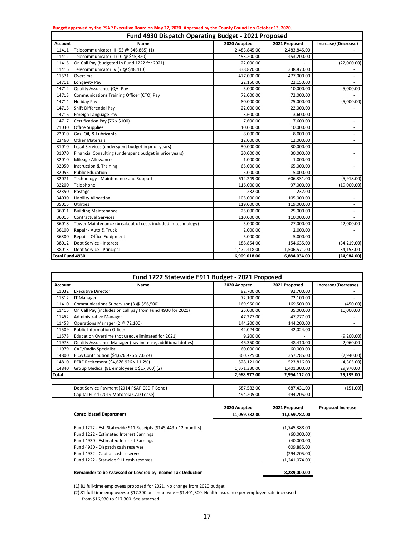|                        | Budget approved by the PSAP Executive Board on May 27, 2020. Approved by the County Council on October 13, 2020. |              |               |                          |
|------------------------|------------------------------------------------------------------------------------------------------------------|--------------|---------------|--------------------------|
|                        | <b>Fund 4930 Dispatch Operating Budget - 2021 Proposed</b>                                                       |              |               |                          |
| <b>Account</b>         | Name                                                                                                             | 2020 Adopted | 2021 Proposed | Increase/(Decrease)      |
| 11411                  | Telecommunicator III (53 @ \$46,865) (1)                                                                         | 2,483,845.00 | 2,483,845.00  |                          |
| 11412                  | Telecommunicator II (10 @ \$45,320)                                                                              | 453,200.00   | 453,200.00    |                          |
| 11415                  | On Call Pay (budgeted in Fund 1222 for 2021)                                                                     | 22,000.00    |               | (22,000.00)              |
| 11416                  | Telecommunicator IV (7 @ \$48,410)                                                                               | 338,870.00   | 338,870.00    |                          |
| 11571                  | Overtime                                                                                                         | 477,000.00   | 477,000.00    |                          |
| 14711                  | Longevity Pay                                                                                                    | 22,150.00    | 22,150.00     |                          |
| 14712                  | Quality Assurance (QA) Pay                                                                                       | 5,000.00     | 10,000.00     | 5,000.00                 |
| 14713                  | Communications Training Officer (CTO) Pay                                                                        | 72,000.00    | 72,000.00     |                          |
| 14714                  | <b>Holiday Pay</b>                                                                                               | 80,000.00    | 75,000.00     | (5,000.00)               |
| 14715                  | Shift Differential Pay                                                                                           | 22,000.00    | 22,000.00     | $\overline{\phantom{a}}$ |
| 14716                  | Foreign Language Pay                                                                                             | 3,600.00     | 3,600.00      | $\blacksquare$           |
| 14717                  | Certification Pay (76 x \$100)                                                                                   | 7,600.00     | 7,600.00      | $\overline{\phantom{a}}$ |
| 21030                  | <b>Office Supplies</b>                                                                                           | 10,000.00    | 10,000.00     | $\overline{\phantom{a}}$ |
| 22010                  | Gas, Oil, & Lubricants                                                                                           | 8,000.00     | 8,000.00      | $\overline{\phantom{a}}$ |
| 23460                  | <b>Other Materials</b>                                                                                           | 12,000.00    | 12,000.00     | $\overline{a}$           |
| 31010                  | Legal Services (underspent budget in prior years)                                                                | 30,000.00    | 30,000.00     |                          |
| 31070                  | Financial Consulting (underspent budget in prior years)                                                          | 30,000.00    | 30,000.00     |                          |
| 32010                  | Mileage Allowance                                                                                                | 1,000.00     | 1,000.00      |                          |
| 32050                  | <b>Instruction &amp; Training</b>                                                                                | 65,000.00    | 65,000.00     |                          |
| 32055                  | <b>Public Education</b>                                                                                          | 5,000.00     | 5,000.00      |                          |
| 32071                  | Technology - Maintenance and Support                                                                             | 612,249.00   | 606,331.00    | (5,918.00)               |
| 32200                  | Telephone                                                                                                        | 116,000.00   | 97,000.00     | (19,000.00)              |
| 32350                  | Postage                                                                                                          | 232.00       | 232.00        |                          |
| 34030                  | Liability Allocation                                                                                             | 105,000.00   | 105,000.00    | ٠                        |
| 35015                  | <b>Utilities</b>                                                                                                 | 119,000.00   | 119,000.00    |                          |
| 36011                  | <b>Building Maintenance</b>                                                                                      | 25,000.00    | 25,000.00     | $\overline{\phantom{a}}$ |
| 36015                  | <b>Contractual Services</b>                                                                                      | 110,000.00   | 110,000.00    |                          |
| 36018                  | Tower Maintenance (breakout of costs included in technology)                                                     | 5,000.00     | 27,000.00     | 22,000.00                |
| 36100                  | Repair - Auto & Truck                                                                                            | 2,000.00     | 2,000.00      |                          |
| 36300                  | Repair - Office Equipment                                                                                        | 5,000.00     | 5,000.00      |                          |
| 38012                  | Debt Service - Interest                                                                                          | 188,854.00   | 154,635.00    | (34, 219.00)             |
| 38013                  | Debt Service - Principal                                                                                         | 1,472,418.00 | 1,506,571.00  | 34,153.00                |
| <b>Total Fund 4930</b> |                                                                                                                  | 6,909,018.00 | 6,884,034.00  | (24,984.00)              |

|                | Fund 1222 Statewide E911 Budget - 2021 Proposed             |              |               |                     |
|----------------|-------------------------------------------------------------|--------------|---------------|---------------------|
| <b>Account</b> | Name                                                        | 2020 Adopted | 2021 Proposed | Increase/(Decrease) |
| 11032          | <b>Executive Director</b>                                   | 92,700.00    | 92,700.00     |                     |
| 11312          | <b>IT Manager</b>                                           | 72,100.00    | 72,100.00     |                     |
| 11410          | Communications Supervisor (3 @ \$56,500)                    | 169,950.00   | 169,500.00    | (450.00)            |
| 11415          | On Call Pay (includes on call pay from Fund 4930 for 2021)  | 25,000.00    | 35,000.00     | 10,000.00           |
| 11452          | <b>Administrative Manager</b>                               | 47,277.00    | 47,277.00     |                     |
| 11458          | Operations Manager (2 @ 72,100)                             | 144,200.00   | 144,200.00    |                     |
| 11509          | <b>Public Information Officer</b>                           | 42,024.00    | 42,024.00     |                     |
| 11578          | Education Overtime (not used, eliminated for 2021)          | 9,200.00     |               | (9,200.00)          |
| 11973          | Quality Assurance Manager (pay increase, additional duties) | 46,350.00    | 48,410.00     | 2,060.00            |
| 11979          | <b>CAD/Radio Specialist</b>                                 | 60,000.00    | 60,000.00     |                     |
| 14800          | FICA Contribution (\$4,676,926 x 7.65%)                     | 360,725.00   | 357,785.00    | (2,940.00)          |
| 14810          | PERF Retirement (\$4,676,926 x 11.2%)                       | 528,121.00   | 523,816.00    | (4,305.00)          |
| 14840          | Group Medical (81 employees x \$17,300) (2)                 | 1,371,330.00 | 1,401,300.00  | 29,970.00           |
| Total          |                                                             | 2,968,977.00 | 2,994,112.00  | 25,135.00           |
|                |                                                             |              |               |                     |
|                | Debt Service Payment (2014 PSAP CEDIT Bond)                 | 687,582.00   | 687,431.00    | (151.00)            |
|                | Capital Fund (2019 Motorola CAD Lease)                      | 494,205.00   | 494,205.00    |                     |

|                                                                 | 2020 Adopted  | 2021 Proposed  | <b>Proposed Increase</b> |
|-----------------------------------------------------------------|---------------|----------------|--------------------------|
| <b>Consolidated Department</b>                                  | 11,059,782.00 | 11.059.782.00  |                          |
| Fund 1222 - Est. Statewide 911 Receipts (\$145,449 x 12 months) |               | (1,745,388.00) |                          |
| Fund 1222 - Estimated Interest Earnings                         |               | (60,000.00)    |                          |
| Fund 4930 - Estimated Interest Earnings                         |               | (40,000.00)    |                          |
| Fund 4930 - Dispatch cash reserves                              |               | 609.885.00     |                          |
| Fund 4932 - Capital cash reserves                               |               | (294, 205.00)  |                          |
| Fund 1222 - Statwide 911 cash reserves                          |               | (1,241,074.00) |                          |
| Remainder to be Assessed or Covered by Income Tax Deduction     |               | 8,289,000.00   |                          |

(1) 81 full-time employees proposed for 2021. No change from 2020 budget.

(2) 81 full-time employees x \$17,300 per employee = \$1,401,300. Health insurance per employee rate increased from \$16,930 to \$17,300. See attached.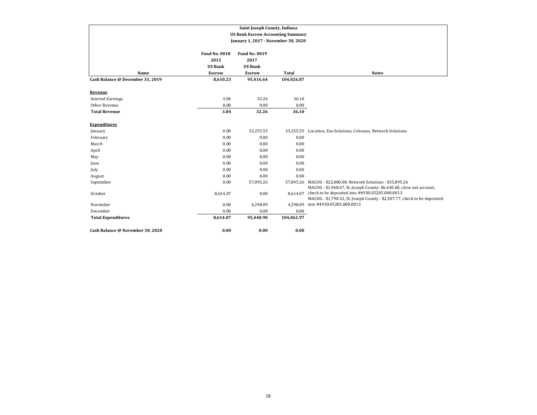|                                  |                                                | Saint Joseph County, Indiana                   |              |                                                                                                                                         |
|----------------------------------|------------------------------------------------|------------------------------------------------|--------------|-----------------------------------------------------------------------------------------------------------------------------------------|
|                                  |                                                | <b>US Bank Escrow Accounting Summary</b>       |              |                                                                                                                                         |
|                                  |                                                | January 1, 2017 - November 30, 2020            |              |                                                                                                                                         |
|                                  | <b>Fund No. 0018</b><br>2015<br><b>US Bank</b> | <b>Fund No. 0019</b><br>2017<br><b>US Bank</b> |              |                                                                                                                                         |
| Name                             | <b>Escrow</b>                                  | <b>Escrow</b>                                  | <b>Total</b> | <b>Notes</b>                                                                                                                            |
| Cash Balance @ December 31, 2019 | 8,610.23                                       | 95,416.64                                      | 104,026.87   |                                                                                                                                         |
| Revenue                          |                                                |                                                |              |                                                                                                                                         |
| <b>Interest Earnings</b>         | 3.84                                           | 32.26                                          | 36.10        |                                                                                                                                         |
| Other Revenue                    | 0.00                                           | 0.00                                           | 0.00         |                                                                                                                                         |
| <b>Total Revenue</b>             | 3.84                                           | 32.26                                          | 36.10        |                                                                                                                                         |
| <b>Expenditures</b>              |                                                |                                                |              |                                                                                                                                         |
| January                          | 0.00                                           | 33,255.55                                      |              | 33,255.55 Locution, Eso Solutions, Colossus, Network Solutions                                                                          |
| February                         | 0.00                                           | 0.00                                           | 0.00         |                                                                                                                                         |
| March                            | 0.00                                           | 0.00                                           | 0.00         |                                                                                                                                         |
| April                            | 0.00                                           | 0.00                                           | 0.00         |                                                                                                                                         |
| May                              | 0.00                                           | 0.00                                           | 0.00         |                                                                                                                                         |
| June                             | 0.00                                           | 0.00                                           | 0.00         |                                                                                                                                         |
| July                             | 0.00                                           | 0.00                                           | 0.00         |                                                                                                                                         |
| August                           | 0.00                                           | 0.00                                           | 0.00         |                                                                                                                                         |
| September                        | 0.00                                           | 57,895.26                                      |              | 57,895.26 MACOG - \$22,000.00, Network Solutions - \$35,895.26<br>MACOG - \$1,968.47, St. Joseph County- \$6,645.60, close out account, |
| October                          | 8,614.07                                       | 0.00                                           | 8,614.07     | check to be deposited into #4930.05205.000.0013<br>MACOG - \$1,790.32, St. Joseph County - \$2,507.77, check to be deposited            |
| November                         | 0.00                                           | 4,298.09                                       | 4,298.09     | into #4930.05205.000.0013                                                                                                               |
| December                         | 0.00                                           | 0.00                                           | 0.00         |                                                                                                                                         |
| <b>Total Expenditures</b>        | 8,614.07                                       | 95,448.90                                      | 104,062.97   |                                                                                                                                         |
| Cash Balance @ November 30, 2020 | 0.00                                           | 0.00                                           | 0.00         |                                                                                                                                         |